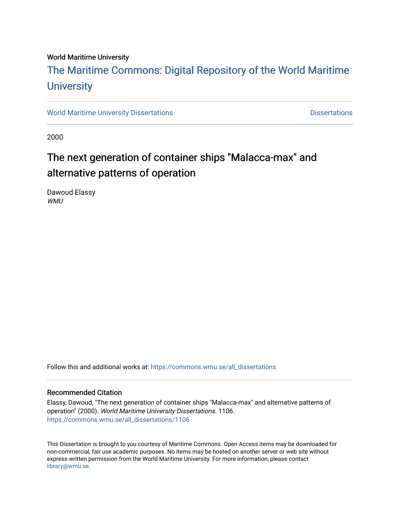#### World Maritime University

## [The Maritime Commons: Digital Repository of the World Maritime](https://commons.wmu.se/)  **University**

[World Maritime University Dissertations](https://commons.wmu.se/all_dissertations) **Example 20 and Taracceretic Contracts** Dissertations

2000

### The next generation of container ships "Malacca-max" and alternative patterns of operation

Dawoud Elassy WMU

Follow this and additional works at: [https://commons.wmu.se/all\\_dissertations](https://commons.wmu.se/all_dissertations?utm_source=commons.wmu.se%2Fall_dissertations%2F1106&utm_medium=PDF&utm_campaign=PDFCoverPages) 

#### Recommended Citation

Elassy, Dawoud, "The next generation of container ships "Malacca-max" and alternative patterns of operation" (2000). World Maritime University Dissertations. 1106. [https://commons.wmu.se/all\\_dissertations/1106](https://commons.wmu.se/all_dissertations/1106?utm_source=commons.wmu.se%2Fall_dissertations%2F1106&utm_medium=PDF&utm_campaign=PDFCoverPages)

This Dissertation is brought to you courtesy of Maritime Commons. Open Access items may be downloaded for non-commercial, fair use academic purposes. No items may be hosted on another server or web site without express written permission from the World Maritime University. For more information, please contact [library@wmu.se](mailto:library@wmu.edu).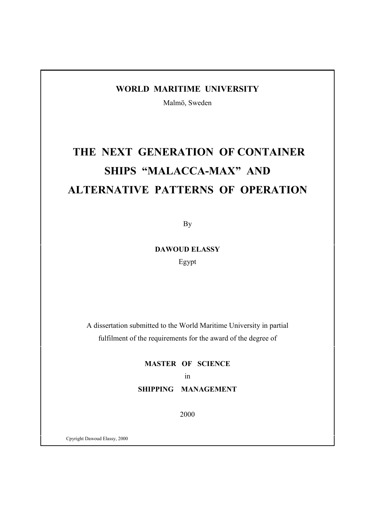#### **WORLD MARITIME UNIVERSITY**

Malmö, Sweden

# **THE NEXT GENERATION OF CONTAINER SHIPS "MALACCA-MAX" AND ALTERNATIVE PATTERNS OF OPERATION**

By

**DAWOUD ELASSY**

Egypt

A dissertation submitted to the World Maritime University in partial fulfilment of the requirements for the award of the degree of

> **MASTER OF SCIENCE** in **SHIPPING MANAGEMENT**

> > 2000

Cpyright Dawoud Elassy, 2000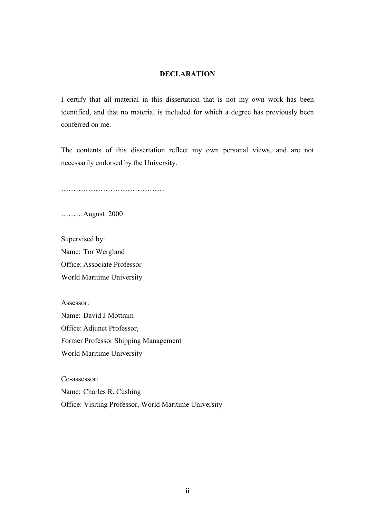#### **DECLARATION**

I certify that all material in this dissertation that is not my own work has been identified, and that no material is included for which a degree has previously been conferred on me.

The contents of this dissertation reflect my own personal views, and are not necessarily endorsed by the University.

……………………………………

………August 2000

Supervised by: Name: Tor Wergland Office: Associate Professor World Maritime University

Assessor: Name: David J Mottram Office: Adjunct Professor, Former Professor Shipping Management World Maritime University

Co-assessor: Name: Charles R. Cushing

Office: Visiting Professor, World Maritime University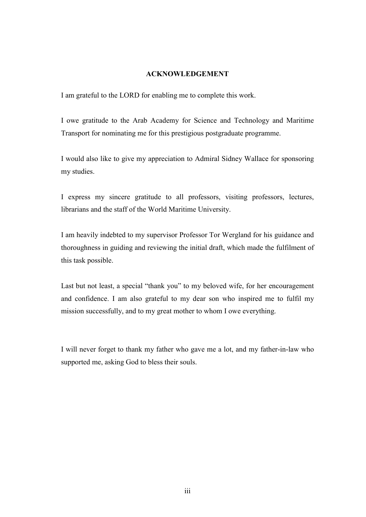#### **ACKNOWLEDGEMENT**

I am grateful to the LORD for enabling me to complete this work.

I owe gratitude to the Arab Academy for Science and Technology and Maritime Transport for nominating me for this prestigious postgraduate programme.

I would also like to give my appreciation to Admiral Sidney Wallace for sponsoring my studies.

I express my sincere gratitude to all professors, visiting professors, lectures, librarians and the staff of the World Maritime University.

I am heavily indebted to my supervisor Professor Tor Wergland for his guidance and thoroughness in guiding and reviewing the initial draft, which made the fulfilment of this task possible.

Last but not least, a special "thank you" to my beloved wife, for her encouragement and confidence. I am also grateful to my dear son who inspired me to fulfil my mission successfully, and to my great mother to whom I owe everything.

I will never forget to thank my father who gave me a lot, and my father-in-law who supported me, asking God to bless their souls.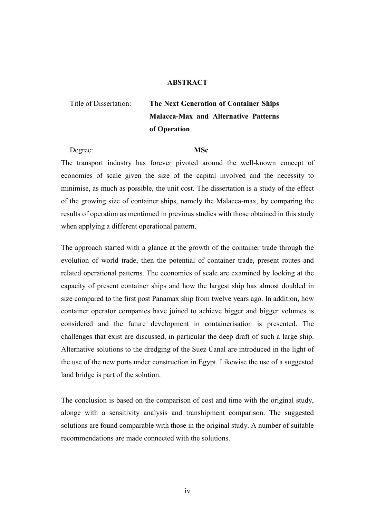#### **ABSTRACT**

### Title of Dissertation: **The Next Generation of Container Ships Malacca-Max and Alternative Patterns of Operation**

Degree: **MSc**

The transport industry has forever pivoted around the well-known concept of economies of scale given the size of the capital involved and the necessity to minimise, as much as possible, the unit cost. The dissertation is a study of the effect of the growing size of container ships, namely the Malacca-max, by comparing the results of operation as mentioned in previous studies with those obtained in this study when applying a different operational pattern.

The approach started with a glance at the growth of the container trade through the evolution of world trade, then the potential of container trade, present routes and related operational patterns. The economies of scale are examined by looking at the capacity of present container ships and how the largest ship has almost doubled in size compared to the first post Panamax ship from twelve years ago. In addition, how container operator companies have joined to achieve bigger and bigger volumes is considered and the future development in containerisation is presented. The challenges that exist are discussed, in particular the deep draft of such a large ship. Alternative solutions to the dredging of the Suez Canal are introduced in the light of the use of the new ports under construction in Egypt. Likewise the use of a suggested land bridge is part of the solution.

The conclusion is based on the comparison of cost and time with the original study, alonge with a sensitivity analysis and transhipment comparison. The suggested solutions are found comparable with those in the original study. A number of suitable recommendations are made connected with the solutions.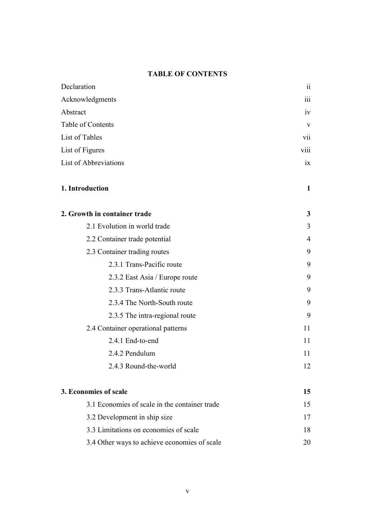#### **TABLE OF CONTENTS**

| Declaration                                   | 11              |
|-----------------------------------------------|-----------------|
| Acknowledgments                               | 111             |
| Abstract                                      | iv              |
| Table of Contents                             | V               |
| List of Tables                                | vii             |
| List of Figures                               | viii            |
| List of Abbreviations                         | $\overline{1}X$ |
| 1. Introduction                               | $\mathbf{1}$    |
| 2. Growth in container trade                  | 3               |
| 2.1 Evolution in world trade                  | 3               |
| 2.2 Container trade potential                 | 4               |
| 2.3 Container trading routes                  | 9               |
| 2.3.1 Trans-Pacific route                     | 9               |
| 2.3.2 East Asia / Europe route                | 9               |
| 2.3.3 Trans-Atlantic route                    | 9               |
| 2.3.4 The North-South route                   | 9               |
| 2.3.5 The intra-regional route                | 9               |
| 2.4 Container operational patterns            | 11              |
| 2.4.1 End-to-end                              | 11              |
| 2.4.2 Pendulum                                | 11              |
| 2.4.3 Round-the-world                         | 12              |
| 3. Economies of scale                         | 15              |
| 3.1 Economies of scale in the container trade | 15              |
| 3.2 Development in ship size                  | 17              |
| 3.3 Limitations on economies of scale         | 18              |
| 3.4 Other ways to achieve economies of scale  | 20              |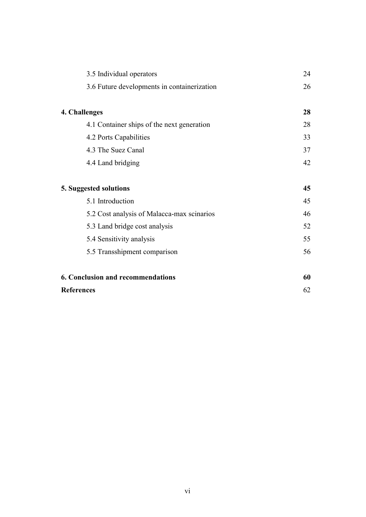| 3.5 Individual operators                    | 24 |
|---------------------------------------------|----|
| 3.6 Future developments in containerization | 26 |
|                                             |    |
| 4. Challenges                               | 28 |
| 4.1 Container ships of the next generation  | 28 |
| 4.2 Ports Capabilities                      | 33 |
| 4.3 The Suez Canal                          | 37 |
| 4.4 Land bridging                           | 42 |
|                                             |    |
|                                             |    |
| 5. Suggested solutions                      | 45 |
| 5.1 Introduction                            | 45 |
| 5.2 Cost analysis of Malacca-max scinarios  | 46 |
| 5.3 Land bridge cost analysis               | 52 |
| 5.4 Sensitivity analysis                    | 55 |
| 5.5 Transshipment comparison                | 56 |
|                                             |    |
| <b>6. Conclusion and recommendations</b>    | 60 |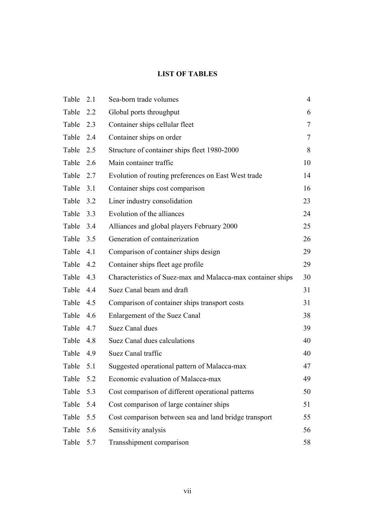#### **LIST OF TABLES**

| Table | 2.1 | Sea-born trade volumes                                      | $\overline{4}$ |
|-------|-----|-------------------------------------------------------------|----------------|
| Table | 2.2 | Global ports throughput                                     | 6              |
| Table | 2.3 | Container ships cellular fleet                              | $\tau$         |
| Table | 2.4 | Container ships on order                                    | $\tau$         |
| Table | 2.5 | Structure of container ships fleet 1980-2000                | 8              |
| Table | 2.6 | Main container traffic                                      | 10             |
| Table | 2.7 | Evolution of routing preferences on East West trade         | 14             |
| Table | 3.1 | Container ships cost comparison                             | 16             |
| Table | 3.2 | Liner industry consolidation                                | 23             |
| Table | 3.3 | Evolution of the alliances                                  | 24             |
| Table | 3.4 | Alliances and global players February 2000                  | 25             |
| Table | 3.5 | Generation of containerization                              | 26             |
| Table | 4.1 | Comparison of container ships design                        | 29             |
| Table | 4.2 | Container ships fleet age profile                           | 29             |
| Table | 4.3 | Characteristics of Suez-max and Malacca-max container ships | 30             |
| Table | 4.4 | Suez Canal beam and draft                                   | 31             |
| Table | 4.5 | Comparison of container ships transport costs               | 31             |
| Table | 4.6 | Enlargement of the Suez Canal                               | 38             |
| Table | 4.7 | Suez Canal dues                                             | 39             |
| Table | 4.8 | Suez Canal dues calculations                                | 40             |
| Table | 4.9 | Suez Canal traffic                                          | 40             |
| Table | 5.1 | Suggested operational pattern of Malacca-max                | 47             |
| Table | 5.2 | Economic evaluation of Malacca-max                          | 49             |
| Table | 5.3 | Cost comparison of different operational patterns           | 50             |
| Table | 5.4 | Cost comparison of large container ships                    | 51             |
| Table | 5.5 | Cost comparison between sea and land bridge transport       | 55             |
| Table | 5.6 | Sensitivity analysis                                        | 56             |
| Table | 5.7 | Transshipment comparison                                    | 58             |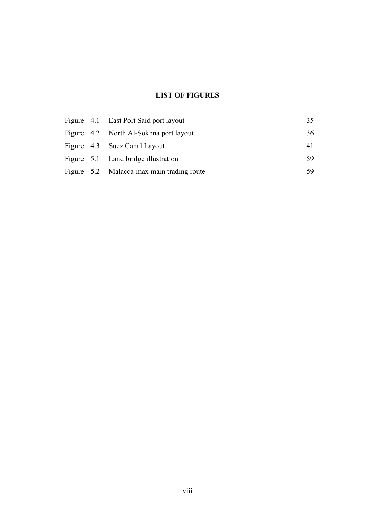### **LIST OF FIGURES**

|  | Figure 4.1 East Port Said port layout     | 35  |
|--|-------------------------------------------|-----|
|  | Figure 4.2 North Al-Sokhna port layout    | 36  |
|  | Figure 4.3 Suez Canal Layout              | 41  |
|  | Figure 5.1 Land bridge illustration       | 59  |
|  | Figure 5.2 Malacca-max main trading route | -59 |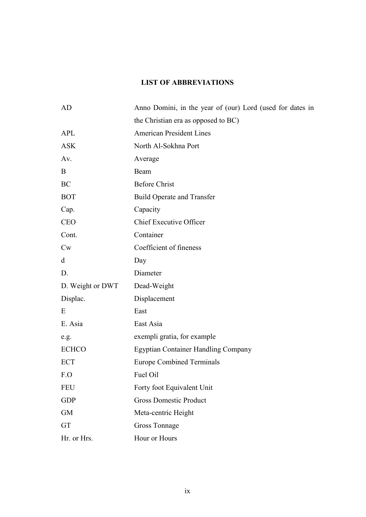### **LIST OF ABBREVIATIONS**

| AD               | Anno Domini, in the year of (our) Lord (used for dates in |
|------------------|-----------------------------------------------------------|
|                  | the Christian era as opposed to BC)                       |
| <b>APL</b>       | <b>American President Lines</b>                           |
| <b>ASK</b>       | North Al-Sokhna Port                                      |
| Av.              | Average                                                   |
| B                | Beam                                                      |
| BC               | <b>Before Christ</b>                                      |
| <b>BOT</b>       | <b>Build Operate and Transfer</b>                         |
| Cap.             | Capacity                                                  |
| <b>CEO</b>       | Chief Executive Officer                                   |
| Cont.            | Container                                                 |
| $\mathrm{C}_{W}$ | Coefficient of fineness                                   |
| d                | Day                                                       |
| D.               | Diameter                                                  |
| D. Weight or DWT | Dead-Weight                                               |
| Displac.         | Displacement                                              |
| E                | East                                                      |
| E. Asia          | East Asia                                                 |
| e.g.             | exempli gratia, for example                               |
| <b>ECHCO</b>     | <b>Egyptian Container Handling Company</b>                |
| <b>ECT</b>       | <b>Europe Combined Terminals</b>                          |
| F.O              | Fuel Oil                                                  |
| <b>FEU</b>       | Forty foot Equivalent Unit                                |
| <b>GDP</b>       | <b>Gross Domestic Product</b>                             |
| <b>GM</b>        | Meta-centric Height                                       |
| GT               | Gross Tonnage                                             |
| Hr. or Hrs.      | Hour or Hours                                             |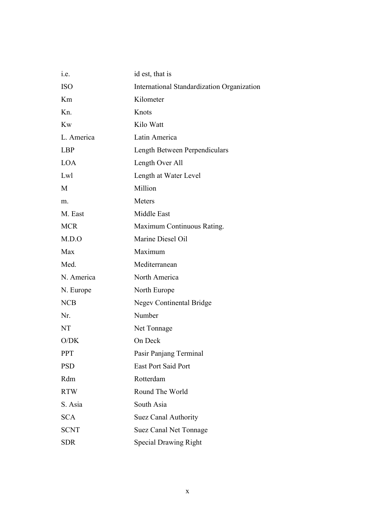| 1.e.        | id est, that is                            |
|-------------|--------------------------------------------|
| <b>ISO</b>  | International Standardization Organization |
| Km          | Kilometer                                  |
| Kn.         | Knots                                      |
| <b>Kw</b>   | Kilo Watt                                  |
| L. America  | Latin America                              |
| <b>LBP</b>  | Length Between Perpendiculars              |
| <b>LOA</b>  | Length Over All                            |
| Lwl         | Length at Water Level                      |
| M           | Million                                    |
| m.          | Meters                                     |
| M. East     | Middle East                                |
| <b>MCR</b>  | Maximum Continuous Rating.                 |
| M.D.O       | Marine Diesel Oil                          |
| Max         | Maximum                                    |
| Med.        | Mediterranean                              |
| N. America  | North America                              |
| N. Europe   | North Europe                               |
| <b>NCB</b>  | <b>Negev Continental Bridge</b>            |
| Nr.         | Number                                     |
| NT          | Net Tonnage                                |
| O/DK        | On Deck                                    |
| <b>PPT</b>  | Pasir Panjang Terminal                     |
| <b>PSD</b>  | <b>East Port Said Port</b>                 |
| Rdm         | Rotterdam                                  |
| <b>RTW</b>  | Round The World                            |
| S. Asia     | South Asia                                 |
| <b>SCA</b>  | Suez Canal Authority                       |
| <b>SCNT</b> | <b>Suez Canal Net Tonnage</b>              |
| <b>SDR</b>  | <b>Special Drawing Right</b>               |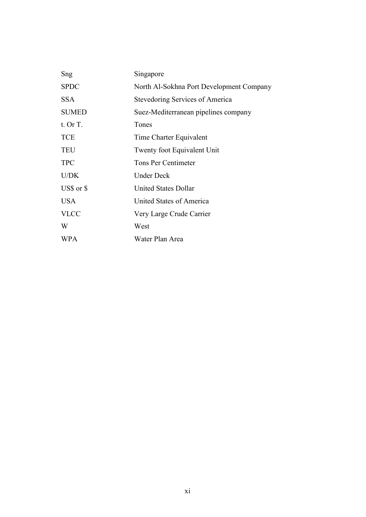| Sng          | Singapore                                |
|--------------|------------------------------------------|
| <b>SPDC</b>  | North Al-Sokhna Port Development Company |
| <b>SSA</b>   | Stevedoring Services of America          |
| <b>SUMED</b> | Suez-Mediterranean pipelines company     |
| $t.$ Or T.   | Tones                                    |
| <b>TCE</b>   | Time Charter Equivalent                  |
| <b>TEU</b>   | Twenty foot Equivalent Unit              |
| <b>TPC</b>   | <b>Tons Per Centimeter</b>               |
| U/DK         | <b>Under Deck</b>                        |
| US\$ or \$   | <b>United States Dollar</b>              |
| <b>USA</b>   | United States of America                 |
| <b>VLCC</b>  | Very Large Crude Carrier                 |
| W            | West                                     |
| <b>WPA</b>   | Water Plan Area                          |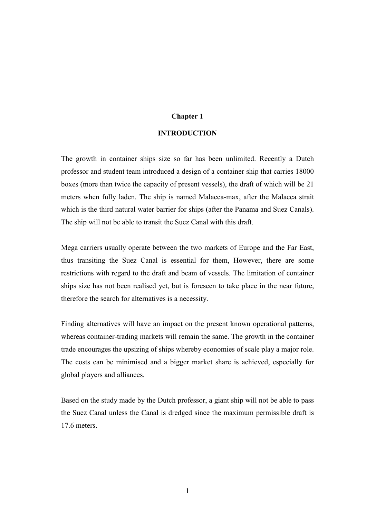#### **Chapter 1**

#### **INTRODUCTION**

The growth in container ships size so far has been unlimited. Recently a Dutch professor and student team introduced a design of a container ship that carries 18000 boxes (more than twice the capacity of present vessels), the draft of which will be 21 meters when fully laden. The ship is named Malacca-max, after the Malacca strait which is the third natural water barrier for ships (after the Panama and Suez Canals). The ship will not be able to transit the Suez Canal with this draft.

Mega carriers usually operate between the two markets of Europe and the Far East, thus transiting the Suez Canal is essential for them, However, there are some restrictions with regard to the draft and beam of vessels. The limitation of container ships size has not been realised yet, but is foreseen to take place in the near future, therefore the search for alternatives is a necessity.

Finding alternatives will have an impact on the present known operational patterns, whereas container-trading markets will remain the same. The growth in the container trade encourages the upsizing of ships whereby economies of scale play a major role. The costs can be minimised and a bigger market share is achieved, especially for global players and alliances.

Based on the study made by the Dutch professor, a giant ship will not be able to pass the Suez Canal unless the Canal is dredged since the maximum permissible draft is 17.6 meters.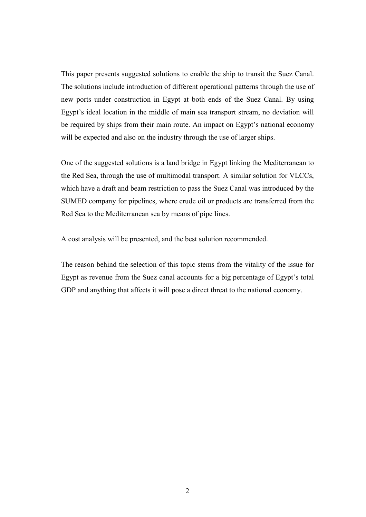This paper presents suggested solutions to enable the ship to transit the Suez Canal. The solutions include introduction of different operational patterns through the use of new ports under construction in Egypt at both ends of the Suez Canal. By using Egypt's ideal location in the middle of main sea transport stream, no deviation will be required by ships from their main route. An impact on Egypt's national economy will be expected and also on the industry through the use of larger ships.

One of the suggested solutions is a land bridge in Egypt linking the Mediterranean to the Red Sea, through the use of multimodal transport. A similar solution for VLCCs, which have a draft and beam restriction to pass the Suez Canal was introduced by the SUMED company for pipelines, where crude oil or products are transferred from the Red Sea to the Mediterranean sea by means of pipe lines.

A cost analysis will be presented, and the best solution recommended.

The reason behind the selection of this topic stems from the vitality of the issue for Egypt as revenue from the Suez canal accounts for a big percentage of Egypt's total GDP and anything that affects it will pose a direct threat to the national economy.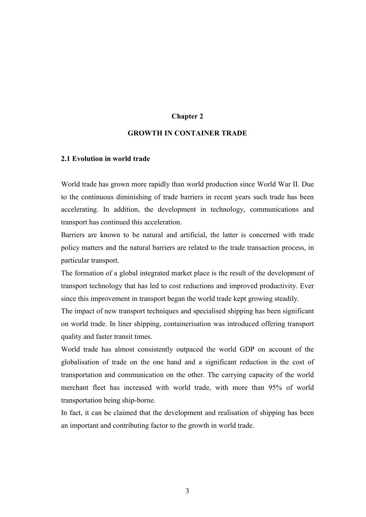#### **Chapter 2**

#### **GROWTH IN CONTAINER TRADE**

#### **2.1 Evolution in world trade**

World trade has grown more rapidly than world production since World War II. Due to the continuous diminishing of trade barriers in recent years such trade has been accelerating. In addition, the development in technology, communications and transport has continued this acceleration.

Barriers are known to be natural and artificial, the latter is concerned with trade policy matters and the natural barriers are related to the trade transaction process, in particular transport.

The formation of a global integrated market place is the result of the development of transport technology that has led to cost reductions and improved productivity. Ever since this improvement in transport began the world trade kept growing steadily.

The impact of new transport techniques and specialised shipping has been significant on world trade. In liner shipping, containerisation was introduced offering transport quality and faster transit times.

World trade has almost consistently outpaced the world GDP on account of the globalisation of trade on the one hand and a significant reduction in the cost of transportation and communication on the other. The carrying capacity of the world merchant fleet has increased with world trade, with more than 95% of world transportation being ship-borne.

In fact, it can be claimed that the development and realisation of shipping has been an important and contributing factor to the growth in world trade.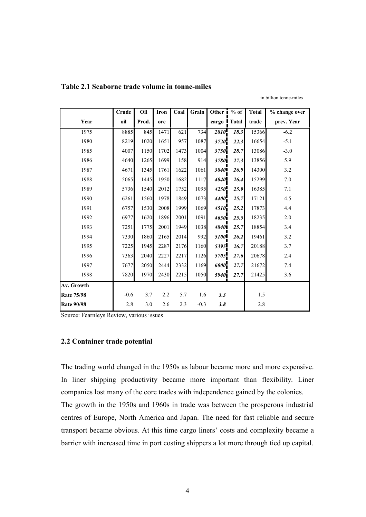|                   | Crude  | Oil   | Iron | Coal | Grain  | Other 1             | $%$ of | <b>Total</b> | % change over |
|-------------------|--------|-------|------|------|--------|---------------------|--------|--------------|---------------|
| Year              | oil    | Prod. | ore  |      |        | cargo I Total       |        | trade        | prev. Year    |
| 1975              | 8885   | 845   | 1471 | 621  | 734    | 2810                | 18.3   | 15366        | $-6.2$        |
| 1980              | 8219   | 1020  | 1651 | 957  | 1087   | 3720                | 22.3   | 16654        | $-5.1$        |
| 1985              | 4007   | 1150  | 1702 | 1473 | 1004   | 3750                | 28.7   | 13086        | $-3.0$        |
| 1986              | 4640   | 1265  | 1699 | 158  | 914    | 3780i               | 27.3   | 13856        | 5.9           |
| 1987              | 4671   | 1345  | 1761 | 1622 | 1061   | 3840                | 26.9   | 14300        | 3.2           |
| 1988              | 5065   | 1445  | 1950 | 1682 | 1117   | 4040                | 26.4   | 15299        | 7.0           |
| 1989              | 5736   | 1540  | 2012 | 1752 | 1095   | 4250                | 25.9   | 16385        | 7.1           |
| 1990              | 6261   | 1560  | 1978 | 1849 | 1073   | 4400                | 25.7   | 17121        | 4.5           |
| 1991              | 6757   | 1530  | 2008 | 1999 | 1069   | $4510$ <sup>1</sup> | 25.2   | 17873        | 4.4           |
| 1992              | 6977   | 1620  | 1896 | 2001 | 1091   | 4650                | 25.5   | 18235        | $2.0\,$       |
| 1993              | 7251   | 1775  | 2001 | 1949 | 1038   | 48401               | 25.7   | 18854        | 3.4           |
| 1994              | 7330   | 1860  | 2165 | 2014 | 992    | 5100                | 26.2   | 19461        | 3.2           |
| 1995              | 7225   | 1945  | 2287 | 2176 | 1160   | 5395                | 26.7   | 20188        | 3.7           |
| 1996              | 7363   | 2040  | 2227 | 2217 | 1126   | 5705                | 27.6   | 20678        | 2.4           |
| 1997              | 7677   | 2050  | 2444 | 2332 | 1169   | 6000                | 27.7   | 21672        | 7.4           |
| 1998              | 7820   | 1970  | 2430 | 2215 | 1050   | 5940 <sub>1</sub>   | 27.7   | 21425        | 3.6           |
| Av. Growth        |        |       |      |      |        |                     |        |              |               |
| <b>Rate 75/98</b> | $-0.6$ | 3.7   | 2.2  | 5.7  | 1.6    | 3.3                 |        | 1.5          |               |
| <b>Rate 90/98</b> | 2.8    | 3.0   | 2.6  | 2.3  | $-0.3$ | 3.8                 |        | $2.8\,$      |               |

in billion tonne-miles

**Table 2.1 Seaborne trade volume in tonne-miles**

Source: Fearnleys Review, various issues

#### **2.2 Container trade potential**

The trading world changed in the 1950s as labour became more and more expensive. In liner shipping productivity became more important than flexibility. Liner companies lost many of the core trades with independence gained by the colonies. The growth in the 1950s and 1960s in trade was between the prosperous industrial centres of Europe, North America and Japan. The need for fast reliable and secure transport became obvious. At this time cargo liners' costs and complexity became a barrier with increased time in port costing shippers a lot more through tied up capital.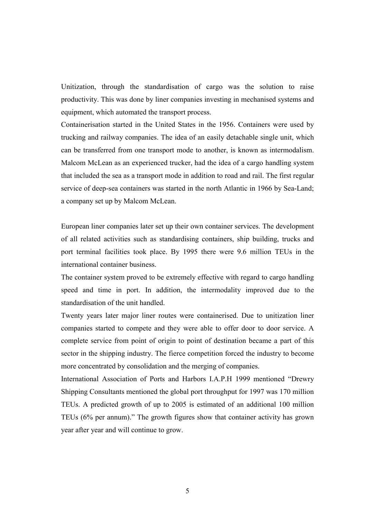Unitization, through the standardisation of cargo was the solution to raise productivity. This was done by liner companies investing in mechanised systems and equipment, which automated the transport process.

Containerisation started in the United States in the 1956. Containers were used by trucking and railway companies. The idea of an easily detachable single unit, which can be transferred from one transport mode to another, is known as intermodalism. Malcom McLean as an experienced trucker, had the idea of a cargo handling system that included the sea as a transport mode in addition to road and rail. The first regular service of deep-sea containers was started in the north Atlantic in 1966 by Sea-Land; a company set up by Malcom McLean.

European liner companies later set up their own container services. The development of all related activities such as standardising containers, ship building, trucks and port terminal facilities took place. By 1995 there were 9.6 million TEUs in the international container business.

The container system proved to be extremely effective with regard to cargo handling speed and time in port. In addition, the intermodality improved due to the standardisation of the unit handled.

Twenty years later major liner routes were containerised. Due to unitization liner companies started to compete and they were able to offer door to door service. A complete service from point of origin to point of destination became a part of this sector in the shipping industry. The fierce competition forced the industry to become more concentrated by consolidation and the merging of companies.

International Association of Ports and Harbors I.A.P.H 1999 mentioned "Drewry Shipping Consultants mentioned the global port throughput for 1997 was 170 million TEUs. A predicted growth of up to 2005 is estimated of an additional 100 million TEUs (6% per annum)." The growth figures show that container activity has grown year after year and will continue to grow.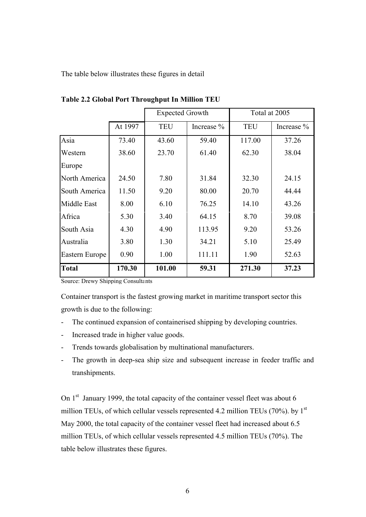The table below illustrates these figures in detail

|                |         | Expected Growth |              | Total at 2005               |       |
|----------------|---------|-----------------|--------------|-----------------------------|-------|
|                | At 1997 | <b>TEU</b>      | Increase $%$ | <b>TEU</b><br>Increase $\%$ |       |
| Asia           | 73.40   | 43.60           | 59.40        | 117.00                      | 37.26 |
| Western        | 38.60   | 23.70           | 61.40        | 62.30                       | 38.04 |
| Europe         |         |                 |              |                             |       |
| North America  | 24.50   | 7.80            | 31.84        | 32.30                       | 24.15 |
| South America  | 11.50   | 9.20            | 80.00        | 20.70                       | 44.44 |
| Middle East    | 8.00    | 6.10            | 76.25        | 14.10                       | 43.26 |
| Africa         | 5.30    | 3.40            | 64.15        | 8.70                        | 39.08 |
| South Asia     | 4.30    | 4.90            | 113.95       | 9.20                        | 53.26 |
| Australia      | 3.80    | 1.30            | 34.21        | 5.10                        | 25.49 |
| Eastern Europe | 0.90    | 1.00            | 111.11       | 1.90                        | 52.63 |
| <b>Total</b>   | 170.30  | 101.00          | 59.31        | 271.30                      | 37.23 |

**Table 2.2 Global Port Throughput In Million TEU**

Source: Drewy Shipping Consultants

Container transport is the fastest growing market in maritime transport sector this growth is due to the following:

- The continued expansion of containerised shipping by developing countries.
- Increased trade in higher value goods.
- Trends towards globalisation by multinational manufacturers.
- The growth in deep-sea ship size and subsequent increase in feeder traffic and transhipments.

On  $1<sup>st</sup>$  January 1999, the total capacity of the container vessel fleet was about 6 million TEUs, of which cellular vessels represented 4.2 million TEUs (70%). by  $1<sup>st</sup>$ May 2000, the total capacity of the container vessel fleet had increased about 6.5 million TEUs, of which cellular vessels represented 4.5 million TEUs (70%). The table below illustrates these figures.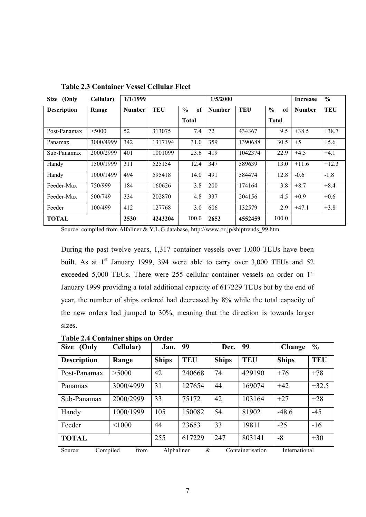| Size (Only         | Cellular) | 1/1/1999      |            |                     | 1/5/2000      |            |                     | <b>Increase</b> | $\frac{6}{6}$ |
|--------------------|-----------|---------------|------------|---------------------|---------------|------------|---------------------|-----------------|---------------|
| <b>Description</b> | Range     | <b>Number</b> | <b>TEU</b> | $\frac{0}{0}$<br>of | <b>Number</b> | <b>TEU</b> | $\frac{0}{0}$<br>of | <b>Number</b>   | TEU           |
|                    |           |               |            | <b>Total</b>        |               |            | <b>Total</b>        |                 |               |
| Post-Panamax       | >5000     | 52            | 313075     | 7.4                 | 72            | 434367     | 9.5                 | $+38.5$         | $+38.7$       |
| Panamax            | 3000/4999 | 342           | 1317194    | 31.0                | 359           | 1390688    | 30.5                | $+5$            | $+5.6$        |
| Sub-Panamax        | 2000/2999 | 401           | 1001099    | 23.6                | 419           | 1042374    | 22.9                | $+4.5$          | $+4.1$        |
| Handy              | 1500/1999 | 311           | 525154     | 12.4                | 347           | 589639     | 13.0                | $+11.6$         | $+12.3$       |
| Handy              | 1000/1499 | 494           | 595418     | 14.0                | 491           | 584474     | 12.8                | $-0.6$          | $-1.8$        |
| Feeder-Max         | 750/999   | 184           | 160626     | 3.8                 | 200           | 174164     | 3.8                 | $+8.7$          | $+8.4$        |
| Feeder-Max         | 500/749   | 334           | 202870     | 4.8                 | 337           | 204156     | 4.5                 | $+0.9$          | $+0.6$        |
| Feeder             | 100/499   | 412           | 127768     | 3.0                 | 606           | 132579     | 2.9                 | $+47.1$         | $+3.8$        |
| <b>TOTAL</b>       |           | 2530          | 4243204    | 100.0               | 2652          | 4552459    | 100.0               |                 |               |

**Table 2.3 Container Vessel Cellular Fleet**

Source: compiled from Alfaliner & Y.L.G database, http://www.or.jp/shiptrends\_99.htm

During the past twelve years, 1,317 container vessels over 1,000 TEUs have been built. As at  $1<sup>st</sup>$  January 1999, 394 were able to carry over 3,000 TEUs and 52 exceeded 5,000 TEUs. There were 255 cellular container vessels on order on 1<sup>st</sup> January 1999 providing a total additional capacity of 617229 TEUs but by the end of year, the number of ships ordered had decreased by 8% while the total capacity of the new orders had jumped to 30%, meaning that the direction is towards larger sizes.

|  | <b>Table 2.4 Container ships on Order</b> |  |  |
|--|-------------------------------------------|--|--|
|  |                                           |  |  |

| Size (Only          | Cellular) | Jan.         | 99         | Dec.         | 99               | Change        | $\frac{6}{6}$ |
|---------------------|-----------|--------------|------------|--------------|------------------|---------------|---------------|
| <b>Description</b>  | Range     | <b>Ships</b> | <b>TEU</b> | <b>Ships</b> | <b>TEU</b>       | <b>Ships</b>  | <b>TEU</b>    |
| Post-Panamax        | >5000     | 42           | 240668     | 74           | 429190           | $+76$         | $+78$         |
| Panamax             | 3000/4999 | 31           | 127654     | 44           | 169074           | $+42$         | $+32.5$       |
| Sub-Panamax         | 2000/2999 | 33           | 75172      | 42           | 103164           | $+27$         | $+28$         |
| Handy               | 1000/1999 | 105          | 150082     | 54           | 81902            | $-48.6$       | $-45$         |
| Feeder              | < 1000    | 44           | 23653      | 33           | 19811            | $-25$         | $-16$         |
| <b>TOTAL</b>        |           | 255          | 617229     | 247          | 803141           | $-8$          | $+30$         |
| Compiled<br>Source: | from      | Alphaliner   | &          |              | Containerisation | International |               |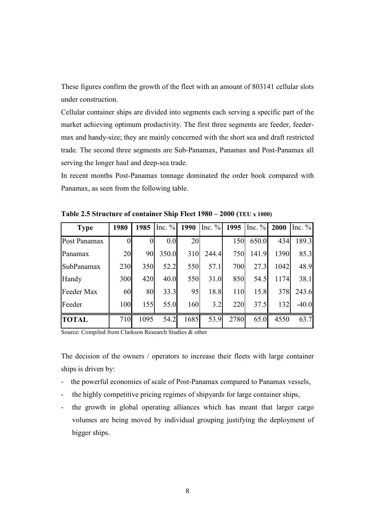These figures confirm the growth of the fleet with an amount of 803141 cellular slots under construction.

Cellular container ships are divided into segments each serving a specific part of the market achieving optimum productivity. The first three segments are feeder, feedermax and handy-size; they are mainly concerned with the short sea and draft restricted trade. The second three segments are Sub-Panamax, Panamax and Post-Panamax all serving the longer haul and deep-sea trade.

In recent months Post-Panamax tonnage dominated the order book compared with Panamax, as seen from the following table.

| <b>Type</b>  | 1980     | 1985 | Inc. $%$ | 1990 | Inc. $%$ | 1995 | Inc. $\%$ | 2000 | Inc. $\%$ |
|--------------|----------|------|----------|------|----------|------|-----------|------|-----------|
| Post Panamax | $\theta$ |      | 0.0      | 20   |          | 150  | 650.0     | 434  | 189.3     |
| Panamax      | 20       | 90   | 350.0    | 310  | 244.4    | 750  | 141.9     | 1390 | 85.3      |
| SubPanamax   | 230      | 350  | 52.2     | 550  | 57.1     | 700  | 27.3      | 1042 | 48.9      |
| Handy        | 300      | 420  | 40.0     | 550  | 31.0     | 850  | 54.5      | 1174 | 38.1      |
| Feeder Max   | 60       | 80   | 33.3     | 95   | 18.8     | 110  | 15.8      | 378  | 243.6     |
| Feeder       | 100      | 155  | 55.0     | 160  | 3.2      | 220  | 37.5      | 132  | $-40.0$   |
| <b>TOTAL</b> | 710      | 1095 | 54.2     | 1685 | 53.9     | 2780 | 65.0      | 4550 | 63.7      |

**Table 2.5 Structure of container Ship Fleet 1980 – 2000 (TEU x 1000)**

Source: Compiled from Clarkson Research Studies & other

The decision of the owners / operators to increase their fleets with large container ships is driven by:

- the powerful economies of scale of Post-Panamax compared to Panamax vessels,
- the highly competitive pricing regimes of shipyards for large container ships,
- the growth in global operating alliances which has meant that larger cargo volumes are being moved by individual grouping justifying the deployment of bigger ships.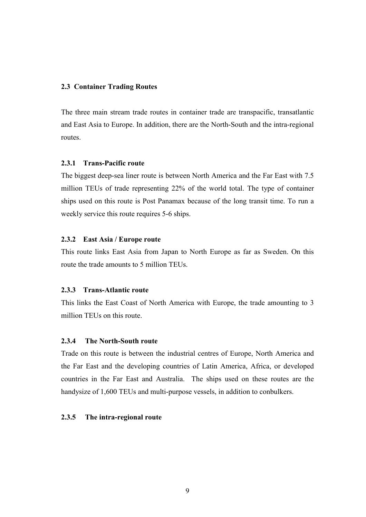#### **2.3 Container Trading Routes**

The three main stream trade routes in container trade are transpacific, transatlantic and East Asia to Europe. In addition, there are the North-South and the intra-regional routes.

#### **2.3.1 Trans-Pacific route**

The biggest deep-sea liner route is between North America and the Far East with 7.5 million TEUs of trade representing 22% of the world total. The type of container ships used on this route is Post Panamax because of the long transit time. To run a weekly service this route requires 5-6 ships.

#### **2.3.2 East Asia / Europe route**

This route links East Asia from Japan to North Europe as far as Sweden. On this route the trade amounts to 5 million TEUs.

#### **2.3.3 Trans-Atlantic route**

This links the East Coast of North America with Europe, the trade amounting to 3 million TEUs on this route.

#### **2.3.4 The North-South route**

Trade on this route is between the industrial centres of Europe, North America and the Far East and the developing countries of Latin America, Africa, or developed countries in the Far East and Australia. The ships used on these routes are the handysize of 1,600 TEUs and multi-purpose vessels, in addition to conbulkers.

#### **2.3.5 The intra-regional route**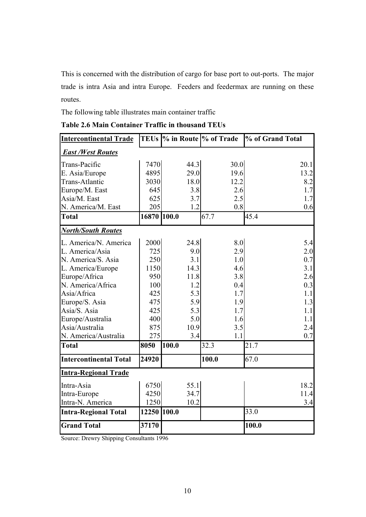This is concerned with the distribution of cargo for base port to out-ports. The major trade is intra Asia and intra Europe. Feeders and feedermax are running on these routes.

The following table illustrates main container traffic

| <b>Intercontinental Trade</b> |             |       | TEUs  % in Route  % of Trade | % of Grand Total |
|-------------------------------|-------------|-------|------------------------------|------------------|
| <b>East /West Routes</b>      |             |       |                              |                  |
| Trans-Pacific                 | 7470        | 44.3  | 30.0                         | 20.1             |
| E. Asia/Europe                | 4895        | 29.0  | 19.6                         | 13.2             |
| Trans-Atlantic                | 3030        | 18.0  | 12.2                         | 8.2              |
| Europe/M. East                | 645         | 3.8   | 2.6                          | 1.7              |
| Asia/M. East                  | 625         | 3.7   | 2.5                          | 1.7              |
| N. America/M. East            | 205         | 1.2   | 0.8                          | 0.6              |
| <b>Total</b>                  | 16870 100.0 |       | 67.7                         | 45.4             |
| <b>North/South Routes</b>     |             |       |                              |                  |
| L. America/N. America         | 2000        | 24.8  | 8.0                          | 5.4              |
| L. America/Asia               | 725         | 9.0   | 2.9                          | 2.0              |
| N. America/S. Asia            | 250         | 3.1   | 1.0                          | 0.7              |
| L. America/Europe             | 1150        | 14.3  | 4.6                          | 3.1              |
| Europe/Africa                 | 950         | 11.8  | 3.8                          | 2.6              |
| N. America/Africa             | 100         | 1.2   | 0.4                          | 0.3              |
| Asia/Africa                   | 425         | 5.3   | 1.7                          | 1.1              |
| Europe/S. Asia                | 475         | 5.9   | 1.9                          | 1.3              |
| Asia/S. Asia                  | 425         | 5.3   | 1.7                          | 1.1              |
| Europe/Australia              | 400         | 5.0   | 1.6                          | 1.1              |
| Asia/Australia                | 875         | 10.9  | 3.5                          | 2.4              |
| N. America/Australia          | 275         | 3.4   | 1.1                          | 0.7              |
| <b>Total</b>                  | 8050        | 100.0 | 32.3                         | 21.7             |
| <b>Intercontinental Total</b> | 24920       |       | 100.0                        | 67.0             |
| <b>Intra-Regional Trade</b>   |             |       |                              |                  |
| Intra-Asia                    | 6750        | 55.1  |                              | 18.2             |
| Intra-Europe                  | 4250        | 34.7  |                              | 11.4             |
| Intra-N. America              | 1250        | 10.2  |                              | 3.4              |
| <b>Intra-Regional Total</b>   | 12250 100.0 |       |                              | 33.0             |
| <b>Grand Total</b>            | 37170       |       |                              | 100.0            |

| <b>Table 2.6 Main Container Traffic in thousand TEUs</b> |  |  |  |  |
|----------------------------------------------------------|--|--|--|--|
|----------------------------------------------------------|--|--|--|--|

Source: Drewry Shipping Consultants 1996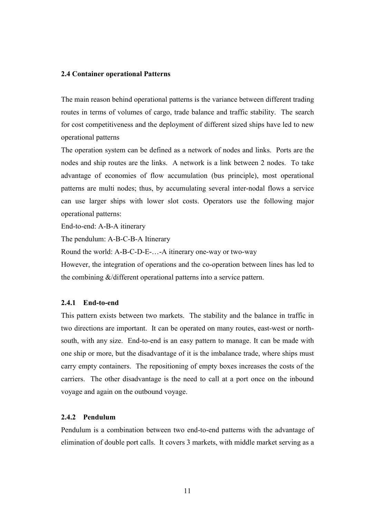#### **2.4 Container operational Patterns**

The main reason behind operational patterns is the variance between different trading routes in terms of volumes of cargo, trade balance and traffic stability. The search for cost competitiveness and the deployment of different sized ships have led to new operational patterns

The operation system can be defined as a network of nodes and links. Ports are the nodes and ship routes are the links. A network is a link between 2 nodes. To take advantage of economies of flow accumulation (bus principle), most operational patterns are multi nodes; thus, by accumulating several inter-nodal flows a service can use larger ships with lower slot costs. Operators use the following major operational patterns:

End-to-end: A-B-A itinerary

The pendulum: A-B-C-B-A Itinerary

Round the world: A-B-C-D-E-…-A itinerary one-way or two-way

However, the integration of operations and the co-operation between lines has led to the combining &/different operational patterns into a service pattern.

#### **2.4.1 End-to-end**

This pattern exists between two markets. The stability and the balance in traffic in two directions are important. It can be operated on many routes, east-west or northsouth, with any size. End-to-end is an easy pattern to manage. It can be made with one ship or more, but the disadvantage of it is the imbalance trade, where ships must carry empty containers. The repositioning of empty boxes increases the costs of the carriers. The other disadvantage is the need to call at a port once on the inbound voyage and again on the outbound voyage.

#### **2.4.2 Pendulum**

Pendulum is a combination between two end-to-end patterns with the advantage of elimination of double port calls. It covers 3 markets, with middle market serving as a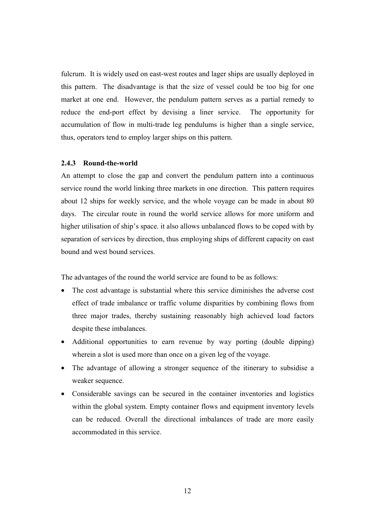fulcrum. It is widely used on east-west routes and lager ships are usually deployed in this pattern. The disadvantage is that the size of vessel could be too big for one market at one end. However, the pendulum pattern serves as a partial remedy to reduce the end-port effect by devising a liner service. The opportunity for accumulation of flow in multi-trade leg pendulums is higher than a single service, thus, operators tend to employ larger ships on this pattern.

#### **2.4.3 Round-the-world**

An attempt to close the gap and convert the pendulum pattern into a continuous service round the world linking three markets in one direction. This pattern requires about 12 ships for weekly service, and the whole voyage can be made in about 80 days. The circular route in round the world service allows for more uniform and higher utilisation of ship's space. it also allows unbalanced flows to be coped with by separation of services by direction, thus employing ships of different capacity on east bound and west bound services.

The advantages of the round the world service are found to be as follows:

- The cost advantage is substantial where this service diminishes the adverse cost effect of trade imbalance or traffic volume disparities by combining flows from three major trades, thereby sustaining reasonably high achieved load factors despite these imbalances.
- Additional opportunities to earn revenue by way porting (double dipping) wherein a slot is used more than once on a given leg of the voyage.
- The advantage of allowing a stronger sequence of the itinerary to subsidise a weaker sequence.
- Considerable savings can be secured in the container inventories and logistics within the global system. Empty container flows and equipment inventory levels can be reduced. Overall the directional imbalances of trade are more easily accommodated in this service.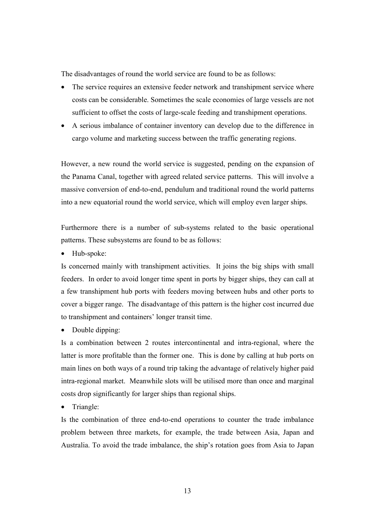The disadvantages of round the world service are found to be as follows:

- The service requires an extensive feeder network and transhipment service where costs can be considerable. Sometimes the scale economies of large vessels are not sufficient to offset the costs of large-scale feeding and transhipment operations.
- A serious imbalance of container inventory can develop due to the difference in cargo volume and marketing success between the traffic generating regions.

However, a new round the world service is suggested, pending on the expansion of the Panama Canal, together with agreed related service patterns. This will involve a massive conversion of end-to-end, pendulum and traditional round the world patterns into a new equatorial round the world service, which will employ even larger ships.

Furthermore there is a number of sub-systems related to the basic operational patterns. These subsystems are found to be as follows:

Hub-spoke:

Is concerned mainly with transhipment activities. It joins the big ships with small feeders. In order to avoid longer time spent in ports by bigger ships, they can call at a few transhipment hub ports with feeders moving between hubs and other ports to cover a bigger range. The disadvantage of this pattern is the higher cost incurred due to transhipment and containers' longer transit time.

• Double dipping:

Is a combination between 2 routes intercontinental and intra-regional, where the latter is more profitable than the former one. This is done by calling at hub ports on main lines on both ways of a round trip taking the advantage of relatively higher paid intra-regional market. Meanwhile slots will be utilised more than once and marginal costs drop significantly for larger ships than regional ships.

• Triangle:

Is the combination of three end-to-end operations to counter the trade imbalance problem between three markets, for example, the trade between Asia, Japan and Australia. To avoid the trade imbalance, the ship's rotation goes from Asia to Japan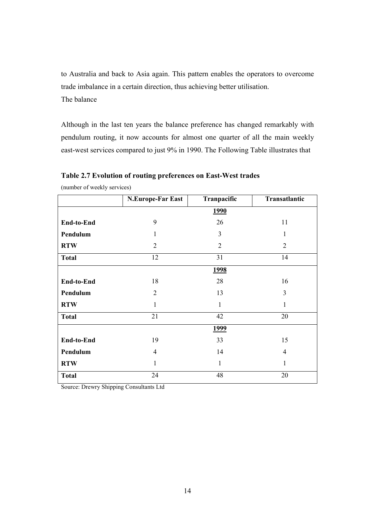to Australia and back to Asia again. This pattern enables the operators to overcome trade imbalance in a certain direction, thus achieving better utilisation. The balance

Although in the last ten years the balance preference has changed remarkably with pendulum routing, it now accounts for almost one quarter of all the main weekly east-west services compared to just 9% in 1990. The Following Table illustrates that

|              | <b>N.Europe-Far East</b> | Tranpacific    | Transatlantic  |
|--------------|--------------------------|----------------|----------------|
|              |                          | <u>1990</u>    |                |
| End-to-End   | 9                        | 26             | 11             |
| Pendulum     | 1                        | 3              | $\mathbf{1}$   |
| <b>RTW</b>   | $\overline{2}$           | $\overline{2}$ | $\overline{2}$ |
| <b>Total</b> | 12                       | 31             | 14             |
|              |                          | <u>1998</u>    |                |
| End-to-End   | 18                       | 28             | 16             |
| Pendulum     | $\overline{2}$           | 13             | 3              |
| <b>RTW</b>   | $\mathbf{1}$             | $\mathbf{1}$   | $\mathbf{1}$   |
| <b>Total</b> | 21                       | 42             | 20             |
|              |                          | <u>1999</u>    |                |
| End-to-End   | 19                       | 33             | 15             |
| Pendulum     | 4                        | 14             | 4              |
| <b>RTW</b>   | 1                        | $\mathbf{1}$   | 1              |
| <b>Total</b> | 24                       | 48             | 20             |

**Table 2.7 Evolution of routing preferences on East-West trades**

(number of weekly services)

Source: Drewry Shipping Consultants Ltd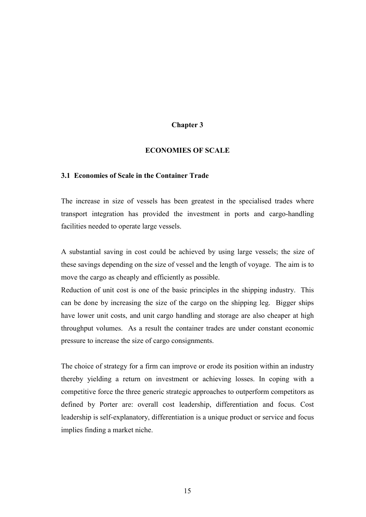#### **Chapter 3**

#### **ECONOMIES OF SCALE**

#### **3.1 Economies of Scale in the Container Trade**

The increase in size of vessels has been greatest in the specialised trades where transport integration has provided the investment in ports and cargo-handling facilities needed to operate large vessels.

A substantial saving in cost could be achieved by using large vessels; the size of these savings depending on the size of vessel and the length of voyage. The aim is to move the cargo as cheaply and efficiently as possible.

Reduction of unit cost is one of the basic principles in the shipping industry. This can be done by increasing the size of the cargo on the shipping leg. Bigger ships have lower unit costs, and unit cargo handling and storage are also cheaper at high throughput volumes. As a result the container trades are under constant economic pressure to increase the size of cargo consignments.

The choice of strategy for a firm can improve or erode its position within an industry thereby yielding a return on investment or achieving losses. In coping with a competitive force the three generic strategic approaches to outperform competitors as defined by Porter are: overall cost leadership, differentiation and focus. Cost leadership is self-explanatory, differentiation is a unique product or service and focus implies finding a market niche.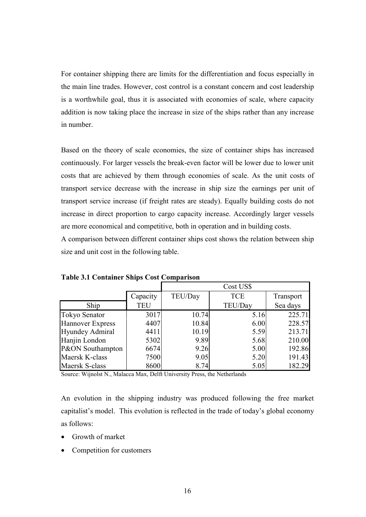For container shipping there are limits for the differentiation and focus especially in the main line trades. However, cost control is a constant concern and cost leadership is a worthwhile goal, thus it is associated with economies of scale, where capacity addition is now taking place the increase in size of the ships rather than any increase in number.

Based on the theory of scale economies, the size of container ships has increased continuously. For larger vessels the break-even factor will be lower due to lower unit costs that are achieved by them through economies of scale. As the unit costs of transport service decrease with the increase in ship size the earnings per unit of transport service increase (if freight rates are steady). Equally building costs do not increase in direct proportion to cargo capacity increase. Accordingly larger vessels are more economical and competitive, both in operation and in building costs.

A comparison between different container ships cost shows the relation between ship size and unit cost in the following table.

|                         |            | Cost US\$ |            |           |  |
|-------------------------|------------|-----------|------------|-----------|--|
|                         | Capacity   | TEU/Day   | <b>TCE</b> | Transport |  |
| Ship                    | <b>TEU</b> |           | TEU/Day    | Sea days  |  |
| <b>Tokyo Senator</b>    | 3017       | 10.74     | 5.16       | 225.71    |  |
| <b>Hannover Express</b> | 4407       | 10.84     | 6.00       | 228.57    |  |
| <b>Hyundey Admiral</b>  | 4411       | 10.19     | 5.59       | 213.71    |  |
| Hanjin London           | 5302       | 9.89      | 5.68       | 210.00    |  |
| P&ON Southampton        | 6674       | 9.26      | 5.00       | 192.86    |  |
| Maersk K-class          | 7500       | 9.05      | 5.20       | 191.43    |  |
| Maersk S-class          | 8600       | 8.74      | 5.05       | 182.29    |  |

**Table 3.1 Container Ships Cost Comparison**

Source: Wijnolst N., Malacca Max, Delft University Press, the Netherlands

An evolution in the shipping industry was produced following the free market capitalist's model. This evolution is reflected in the trade of today's global economy as follows:

- Growth of market
- Competition for customers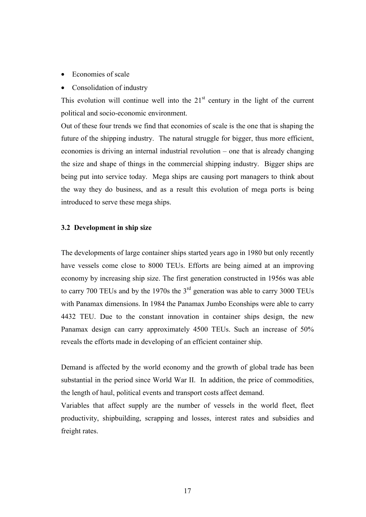- Economies of scale
- Consolidation of industry

This evolution will continue well into the  $21<sup>st</sup>$  century in the light of the current political and socio-economic environment.

Out of these four trends we find that economies of scale is the one that is shaping the future of the shipping industry. The natural struggle for bigger, thus more efficient, economies is driving an internal industrial revolution – one that is already changing the size and shape of things in the commercial shipping industry. Bigger ships are being put into service today. Mega ships are causing port managers to think about the way they do business, and as a result this evolution of mega ports is being introduced to serve these mega ships.

#### **3.2 Development in ship size**

The developments of large container ships started years ago in 1980 but only recently have vessels come close to 8000 TEUs. Efforts are being aimed at an improving economy by increasing ship size. The first generation constructed in 1956s was able to carry 700 TEUs and by the 1970s the  $3<sup>rd</sup>$  generation was able to carry 3000 TEUs with Panamax dimensions. In 1984 the Panamax Jumbo Econships were able to carry 4432 TEU. Due to the constant innovation in container ships design, the new Panamax design can carry approximately 4500 TEUs. Such an increase of 50% reveals the efforts made in developing of an efficient container ship.

Demand is affected by the world economy and the growth of global trade has been substantial in the period since World War II. In addition, the price of commodities, the length of haul, political events and transport costs affect demand.

Variables that affect supply are the number of vessels in the world fleet, fleet productivity, shipbuilding, scrapping and losses, interest rates and subsidies and freight rates.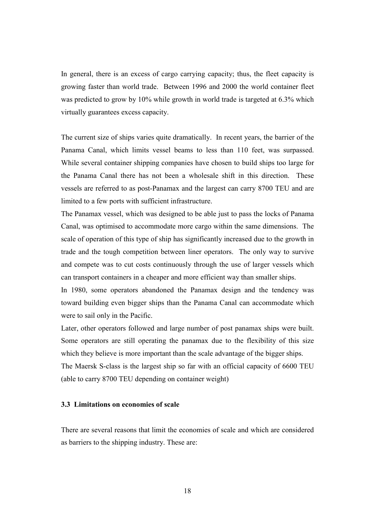In general, there is an excess of cargo carrying capacity; thus, the fleet capacity is growing faster than world trade. Between 1996 and 2000 the world container fleet was predicted to grow by 10% while growth in world trade is targeted at 6.3% which virtually guarantees excess capacity.

The current size of ships varies quite dramatically. In recent years, the barrier of the Panama Canal, which limits vessel beams to less than 110 feet, was surpassed. While several container shipping companies have chosen to build ships too large for the Panama Canal there has not been a wholesale shift in this direction. These vessels are referred to as post-Panamax and the largest can carry 8700 TEU and are limited to a few ports with sufficient infrastructure.

The Panamax vessel, which was designed to be able just to pass the locks of Panama Canal, was optimised to accommodate more cargo within the same dimensions. The scale of operation of this type of ship has significantly increased due to the growth in trade and the tough competition between liner operators. The only way to survive and compete was to cut costs continuously through the use of larger vessels which can transport containers in a cheaper and more efficient way than smaller ships.

In 1980, some operators abandoned the Panamax design and the tendency was toward building even bigger ships than the Panama Canal can accommodate which were to sail only in the Pacific.

Later, other operators followed and large number of post panamax ships were built. Some operators are still operating the panamax due to the flexibility of this size which they believe is more important than the scale advantage of the bigger ships. The Maersk S-class is the largest ship so far with an official capacity of 6600 TEU (able to carry 8700 TEU depending on container weight)

#### **3.3 Limitations on economies of scale**

There are several reasons that limit the economies of scale and which are considered as barriers to the shipping industry. These are: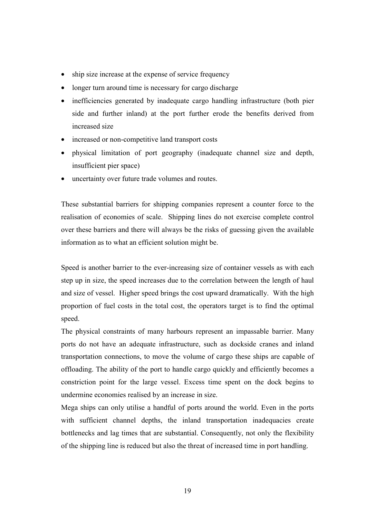- ship size increase at the expense of service frequency
- longer turn around time is necessary for cargo discharge
- inefficiencies generated by inadequate cargo handling infrastructure (both pier side and further inland) at the port further erode the benefits derived from increased size
- increased or non-competitive land transport costs
- physical limitation of port geography (inadequate channel size and depth, insufficient pier space)
- uncertainty over future trade volumes and routes.

These substantial barriers for shipping companies represent a counter force to the realisation of economies of scale. Shipping lines do not exercise complete control over these barriers and there will always be the risks of guessing given the available information as to what an efficient solution might be.

Speed is another barrier to the ever-increasing size of container vessels as with each step up in size, the speed increases due to the correlation between the length of haul and size of vessel. Higher speed brings the cost upward dramatically. With the high proportion of fuel costs in the total cost, the operators target is to find the optimal speed.

The physical constraints of many harbours represent an impassable barrier. Many ports do not have an adequate infrastructure, such as dockside cranes and inland transportation connections, to move the volume of cargo these ships are capable of offloading. The ability of the port to handle cargo quickly and efficiently becomes a constriction point for the large vessel. Excess time spent on the dock begins to undermine economies realised by an increase in size.

Mega ships can only utilise a handful of ports around the world. Even in the ports with sufficient channel depths, the inland transportation inadequacies create bottlenecks and lag times that are substantial. Consequently, not only the flexibility of the shipping line is reduced but also the threat of increased time in port handling.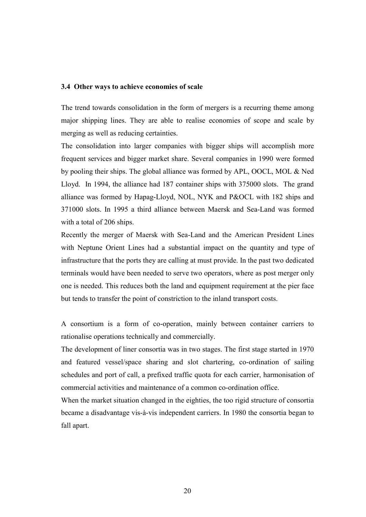#### **3.4 Other ways to achieve economies of scale**

The trend towards consolidation in the form of mergers is a recurring theme among major shipping lines. They are able to realise economies of scope and scale by merging as well as reducing certainties.

The consolidation into larger companies with bigger ships will accomplish more frequent services and bigger market share. Several companies in 1990 were formed by pooling their ships. The global alliance was formed by APL, OOCL, MOL & Ned Lloyd. In 1994, the alliance had 187 container ships with 375000 slots. The grand alliance was formed by Hapag-Lloyd, NOL, NYK and P&OCL with 182 ships and 371000 slots. In 1995 a third alliance between Maersk and Sea-Land was formed with a total of 206 ships.

Recently the merger of Maersk with Sea-Land and the American President Lines with Neptune Orient Lines had a substantial impact on the quantity and type of infrastructure that the ports they are calling at must provide. In the past two dedicated terminals would have been needed to serve two operators, where as post merger only one is needed. This reduces both the land and equipment requirement at the pier face but tends to transfer the point of constriction to the inland transport costs.

A consortium is a form of co-operation, mainly between container carriers to rationalise operations technically and commercially.

The development of liner consortia was in two stages. The first stage started in 1970 and featured vessel/space sharing and slot chartering, co-ordination of sailing schedules and port of call, a prefixed traffic quota for each carrier, harmonisation of commercial activities and maintenance of a common co-ordination office.

When the market situation changed in the eighties, the too rigid structure of consortia became a disadvantage vis-à-vis independent carriers. In 1980 the consortia began to fall apart.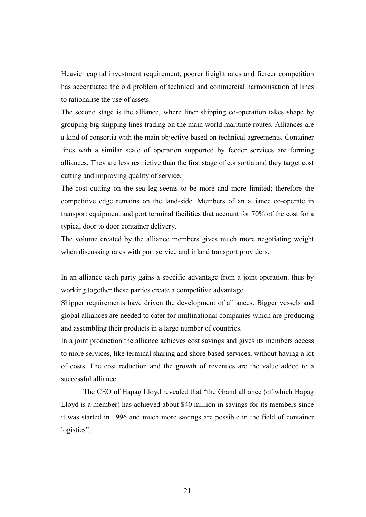Heavier capital investment requirement, poorer freight rates and fiercer competition has accentuated the old problem of technical and commercial harmonisation of lines to rationalise the use of assets.

The second stage is the alliance, where liner shipping co-operation takes shape by grouping big shipping lines trading on the main world maritime routes. Alliances are a kind of consortia with the main objective based on technical agreements. Container lines with a similar scale of operation supported by feeder services are forming alliances. They are less restrictive than the first stage of consortia and they target cost cutting and improving quality of service.

The cost cutting on the sea leg seems to be more and more limited; therefore the competitive edge remains on the land-side. Members of an alliance co-operate in transport equipment and port terminal facilities that account for 70% of the cost for a typical door to door container delivery.

The volume created by the alliance members gives much more negotiating weight when discussing rates with port service and inland transport providers.

In an alliance each party gains a specific advantage from a joint operation. thus by working together these parties create a competitive advantage.

Shipper requirements have driven the development of alliances. Bigger vessels and global alliances are needed to cater for multinational companies which are producing and assembling their products in a large number of countries.

In a joint production the alliance achieves cost savings and gives its members access to more services, like terminal sharing and shore based services, without having a lot of costs. The cost reduction and the growth of revenues are the value added to a successful alliance.

The CEO of Hapag Lloyd revealed that "the Grand alliance (of which Hapag Lloyd is a member) has achieved about \$40 million in savings for its members since it was started in 1996 and much more savings are possible in the field of container logistics".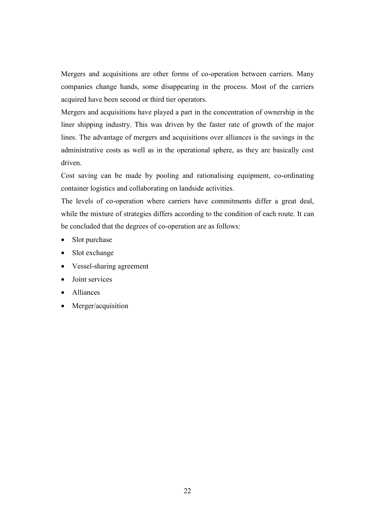Mergers and acquisitions are other forms of co-operation between carriers. Many companies change hands, some disappearing in the process. Most of the carriers acquired have been second or third tier operators.

Mergers and acquisitions have played a part in the concentration of ownership in the liner shipping industry. This was driven by the faster rate of growth of the major lines. The advantage of mergers and acquisitions over alliances is the savings in the administrative costs as well as in the operational sphere, as they are basically cost driven.

Cost saving can be made by pooling and rationalising equipment, co-ordinating container logistics and collaborating on landside activities.

The levels of co-operation where carriers have commitments differ a great deal, while the mixture of strategies differs according to the condition of each route. It can be concluded that the degrees of co-operation are as follows:

- Slot purchase
- Slot exchange
- Vessel-sharing agreement
- Joint services
- Alliances
- Merger/acquisition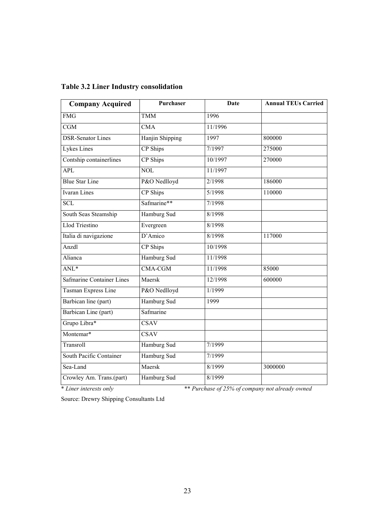| <b>Company Acquired</b>          | Purchaser       | <b>Date</b> | <b>Annual TEUs Carried</b> |
|----------------------------------|-----------------|-------------|----------------------------|
| <b>FMG</b>                       | <b>TMM</b>      | 1996        |                            |
| CGM                              | <b>CMA</b>      | 11/1996     |                            |
| <b>DSR-Senator Lines</b>         | Hanjin Shipping | 1997        | 800000                     |
| <b>Lykes Lines</b>               | CP Ships        | 7/1997      | 275000                     |
| Contship containerlines          | <b>CP</b> Ships | 10/1997     | 270000                     |
| <b>APL</b>                       | <b>NOL</b>      | 11/1997     |                            |
| <b>Blue Star Line</b>            | P&O Nedlloyd    | 2/1998      | 186000                     |
| <b>Ivaran</b> Lines              | CP Ships        | 5/1998      | 110000                     |
| <b>SCL</b>                       | Safmarine**     | 7/1998      |                            |
| South Seas Steamship             | Hamburg Sud     | 8/1998      |                            |
| <b>Llod Triestino</b>            | Evergreen       | 8/1998      |                            |
| Italia di navigazione            | D'Amico         | 8/1998      | 117000                     |
| Anzdl                            | CP Ships        | 10/1998     |                            |
| Alianca                          | Hamburg Sud     | 11/1998     |                            |
| ANL*                             | <b>CMA-CGM</b>  | 11/1998     | 85000                      |
| <b>Safmarine Container Lines</b> | Maersk          | 12/1998     | 600000                     |
| <b>Tasman Express Line</b>       | P&O Nedlloyd    | 1/1999      |                            |
| Barbican line (part)             | Hamburg Sud     | 1999        |                            |
| Barbican Line (part)             | Safmarine       |             |                            |
| Grupo Libra*                     | <b>CSAV</b>     |             |                            |
| Montemar*                        | <b>CSAV</b>     |             |                            |
| Transroll                        | Hamburg Sud     | 7/1999      |                            |
| South Pacific Container          | Hamburg Sud     | 7/1999      |                            |
| Sea-Land                         | Maersk          | 8/1999      | 3000000                    |
| Crowley Am. Trans.(part)         | Hamburg Sud     | 8/1999      |                            |

### **Table 3.2 Liner Industry consolidation**

\* *Liner interests only* \*\* *Purchase of 25% of company not already owned*

Source: Drewry Shipping Consultants Ltd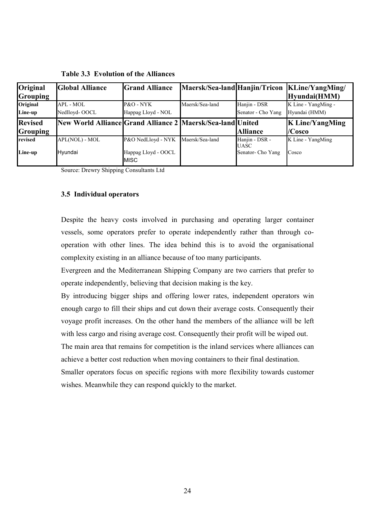| Original<br><b>Grouping</b>       | <b>Global Alliance</b>                                     | <b>Grand Alliance</b>                                    |                 |                                                    | Maersk/Sea-land Hanjin/Tricon   KLine/YangMing/<br>Hyundai(HMM) |
|-----------------------------------|------------------------------------------------------------|----------------------------------------------------------|-----------------|----------------------------------------------------|-----------------------------------------------------------------|
| Original                          | APL - MOL                                                  | P&O - NYK                                                | Maersk/Sea-land | Hanjin - DSR                                       | K Line - YangMing -                                             |
| Line-up                           | Nedlloyd-OOCL                                              | Happag Lloyd - NOL                                       |                 | Senator - Cho Yang                                 | Hyundai (HMM)                                                   |
| <b>Revised</b><br><b>Grouping</b> | New World Alliance Grand Alliance 2 Maersk/Sea-land United |                                                          |                 | <b>Alliance</b>                                    | <b>K</b> Line/YangMing<br>$/C$ osco                             |
| <b>revised</b><br>Line-up         | APL(NOL) - MOL<br>Hyundai                                  | P&O NedLloyd - NYK<br>Happag Lloyd - OOCL<br><b>MISC</b> | Maersk/Sea-land | Hanjin - DSR -<br><b>UASC</b><br>Senator- Cho Yang | K Line - YangMing<br>Cosco                                      |

**Table 3.3 Evolution of the Alliances**

Source: Drewry Shipping Consultants Ltd

#### **3.5 Individual operators**

Despite the heavy costs involved in purchasing and operating larger container vessels, some operators prefer to operate independently rather than through cooperation with other lines. The idea behind this is to avoid the organisational complexity existing in an alliance because of too many participants.

Evergreen and the Mediterranean Shipping Company are two carriers that prefer to operate independently, believing that decision making is the key.

By introducing bigger ships and offering lower rates, independent operators win enough cargo to fill their ships and cut down their average costs. Consequently their voyage profit increases. On the other hand the members of the alliance will be left with less cargo and rising average cost. Consequently their profit will be wiped out.

The main area that remains for competition is the inland services where alliances can achieve a better cost reduction when moving containers to their final destination. Smaller operators focus on specific regions with more flexibility towards customer

wishes. Meanwhile they can respond quickly to the market.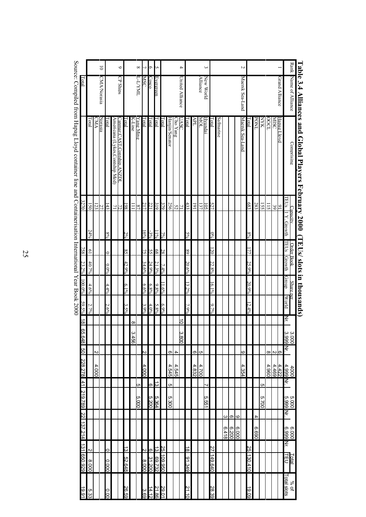|                                                  |                |                 | $\overline{0}$     |         |                                 | $\circ$                                 |         |                      | $\infty$           | 1          | Ó            |              |         |                |         | 4               |          |       |                 | ς         |                  |           |       |          |       | S               |          |             |       |          |                |                  |                    |                             |
|--------------------------------------------------|----------------|-----------------|--------------------|---------|---------------------------------|-----------------------------------------|---------|----------------------|--------------------|------------|--------------|--------------|---------|----------------|---------|-----------------|----------|-------|-----------------|-----------|------------------|-----------|-------|----------|-------|-----------------|----------|-------------|-------|----------|----------------|------------------|--------------------|-----------------------------|
| Total                                            |                |                 | <b>CMA/Norasia</b> |         |                                 | CP Ships                                |         |                      | T <sub>1</sub> NNL | <b>MSC</b> | <b>Cosco</b> | Evergreen    |         |                |         | United Alliance |          |       | <b>Alliance</b> | New World |                  |           |       |          |       | Maersk Sea-Land |          |             |       |          |                | Grand Alliance   |                    | Rank Name of Alliance       |
|                                                  | lotal          | Ř               | Norasia            | Total   | Americana (Lykes, Contship Med) | Canmar.<br><b>CAST</b><br>ontship.ANZDI | otal    | K-Line               | Yang Ming          | Total      | Total        | <b>Total</b> | Iotal   | Hanjin/Senator | ho Yang | IASC            | lotal    | APL   | TOM             | Hyundai   | Total            | Safmarine |       |          |       | Maersk Sea-Land | Fotal    | <b>TNOd</b> | NNK   | COCL     | <b>NISC</b>    | Hapag  <br>pvol. |                    | Comprising                  |
| 3270                                             | 150            | $\overline{23}$ | 27                 | 143     | 71                              | 72                                      | 198     | $\equiv$             | 87                 | 217        | 221          | 319          | 379     | 256            | 52      | $\overline{z}$  | 433      | 161   | 137             | 105       | 527              |           |       |          |       |                 | 683      | 283         | 155   | 115      | $\mathfrak{F}$ | $\tilde{g}$      | TEUs               |                             |
|                                                  | 24%            |                 |                    | $8\%$   |                                 |                                         | $2\%$   |                      |                    | $16\%$     | $-3\%$       | $11\%$       | 7%      |                |         |                 | $5\%$    |       |                 |           | $0\%$            |           |       |          |       |                 | $8\%$    |             |       |          |                |                  | Y. Growth          | $\mathop{\rm \mathrm{c}ar}$ |
| 758                                              | $\overline{0}$ |                 |                    |         |                                 |                                         | 85      |                      |                    | 75         | 55           | 68           | 28      |                |         |                 | 89       |       |                 |           | $\overline{120}$ |           |       |          |       |                 | 177      |             |       |          |                |                  | <b>TEUS</b>        |                             |
| 23.2%                                            | 40.7%          |                 |                    | $0.0\%$ |                                 |                                         | 42.9%   |                      |                    | $34.6\%$   | 24.9%        | 21.3%        | 7.4%    |                |         |                 | $20.6\%$ |       |                 |           | 22.8%            |           |       |          |       |                 | 25.9%    |             |       |          |                |                  | Growth             | Order Book                  |
| $100.0\%$                                        | 4.6%           |                 |                    | $4.4\%$ |                                 |                                         | $6.1\%$ |                      |                    | $6.6\%$    | 6.8%         | $9.8\%$      | $1.6\%$ |                |         |                 | $13.2\%$ |       |                 |           | $16.1\%$         |           |       |          |       |                 | 20.9%    |             |       |          |                |                  | Group              |                             |
| 59.5%                                            |                |                 |                    | $2.6\%$ |                                 |                                         |         |                      |                    |            | $4.0\%$      |              | $6.9\%$ |                |         |                 | $7.9\%$  |       |                 |           | $9.7\%$          |           |       |          |       |                 | $12.4\%$ |             |       |          |                |                  | World              | Share per                   |
|                                                  | 2.7%           |                 |                    |         |                                 |                                         | $3.5\%$ |                      |                    | $3.9\%$    |              | $5.8\%$      |         |                |         |                 |          |       |                 |           |                  |           |       |          |       |                 |          |             |       |          |                |                  | Nr.                |                             |
| 18 65.                                           |                |                 |                    |         |                                 |                                         |         | $\infty$<br>ω<br>456 |                    |            |              |              |         |                |         | 0<br>ω<br>.800  |          |       |                 |           |                  |           |       |          |       |                 |          |             |       |          |                |                  | ဖ ဖ<br>.000<br>000 |                             |
|                                                  |                | $\sim$          |                    |         |                                 |                                         |         |                      |                    | N          |              |              |         | ω              | 4       |                 |          | ω     | c               |           |                  |           |       |          |       | 6               |          |             |       | $\infty$ | လက             |                  | Νr.                |                             |
| 648 50 228.278 41 219.789 22 137.214 131 650.929 |                | 4.000           |                    |         |                                 |                                         |         |                      |                    | 4.000      |              |              |         | 4.545          | 4.545   |                 |          | 4.832 | 4.700           |           |                  |           |       |          |       | 4.354           |          |             |       | 4.960    | 4.469          | 4.422            | 4000<br>4.999      |                             |
|                                                  |                |                 |                    |         |                                 |                                         |         |                      | Юı                 |            | d)           | ದ            |         | C)             |         |                 |          |       |                 | ⊣         |                  |           |       |          |       |                 |          |             | Cη    |          |                |                  | Μr.                |                             |
|                                                  |                |                 |                    |         |                                 |                                         |         |                      | 5.000              |            | 5.200        | 5.364        |         | ō.<br>300      |         |                 |          |       |                 | 5.551     |                  |           |       |          |       |                 |          |             | 5.700 |          |                |                  | 5.000<br>5.999     |                             |
|                                                  |                |                 |                    |         |                                 |                                         |         |                      |                    |            |              |              |         |                |         |                 |          |       |                 |           |                  |           | ω     | ω        | ဖ     |                 |          | 4           |       |          |                |                  | Ķ                  |                             |
|                                                  |                |                 |                    |         |                                 |                                         |         |                      |                    |            |              |              |         |                |         |                 |          |       |                 |           |                  |           | 6.418 | တ<br>200 | 6.000 |                 |          | 069'9       |       |          |                |                  | 6.000<br>6.999     |                             |
|                                                  | N              |                 |                    | 0       |                                 |                                         | ದ       |                      |                    | И          | ω            | 13           | 25      |                |         |                 | 18       |       |                 |           | 27               |           |       |          |       |                 | 25       |             |       |          |                |                  | Μŗ.                |                             |
|                                                  | 000'8          |                 |                    | 0.000   |                                 |                                         | 52.648  |                      |                    | 8.000      | 31.200       | 69.732       | 09.950  |                |         |                 | 91.349   |       |                 |           | 149.640          |           |       |          |       |                 | 130.410  |             |       |          |                |                  | <u>Total</u>       |                             |
| 19.91                                            | 533            |                 |                    | 0.00    |                                 |                                         | 26.59   |                      |                    | 3.69       | 14.12        | 21.86        | 29.01   |                |         |                 | 21       |       |                 |           | 28.3<br>ق        |           |       |          |       |                 | 19.09    |             |       |          |                |                  | Total slots        | % of                        |

Table 3.4 Alliances and Global Payers February 2000 (TEUs/slog n thousand Global Payers and Global P **Table 3.4 Alliances and Global Players February 2000 (TEUs/ slots in thousands)**

Source: Compiled from Hapag Lloyd container line and Containerisation International Year Book 2000 Source: Compiled from Hapag Lloyd container line and Containerisation International Year Book 2000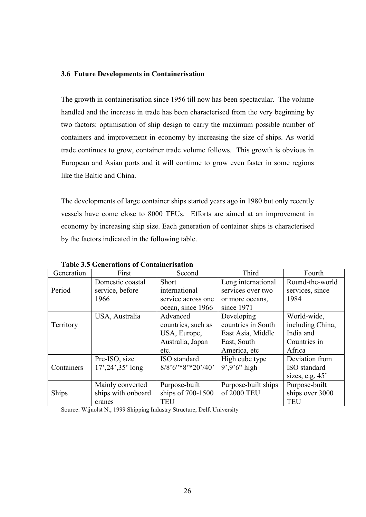# **3.6 Future Developments in Containerisation**

The growth in containerisation since 1956 till now has been spectacular. The volume handled and the increase in trade has been characterised from the very beginning by two factors: optimisation of ship design to carry the maximum possible number of containers and improvement in economy by increasing the size of ships. As world trade continues to grow, container trade volume follows. This growth is obvious in European and Asian ports and it will continue to grow even faster in some regions like the Baltic and China.

The developments of large container ships started years ago in 1980 but only recently vessels have come close to 8000 TEUs. Efforts are aimed at an improvement in economy by increasing ship size. Each generation of container ships is characterised by the factors indicated in the following table.

| Generation | First                | Second               | Third               | Fourth            |
|------------|----------------------|----------------------|---------------------|-------------------|
|            | Domestic coastal     | Short                | Long international  | Round-the-world   |
| Period     | service, before      | international        | services over two   | services, since   |
|            | 1966                 | service across one   | or more oceans,     | 1984              |
|            |                      | ocean, since 1966    | since 1971          |                   |
|            | USA, Australia       | Advanced             | Developing          | World-wide,       |
| Territory  |                      | countries, such as   | countries in South  | including China,  |
|            |                      | USA, Europe,         | East Asia, Middle   | India and         |
|            |                      | Australia, Japan     | East, South         | Countries in      |
|            |                      | etc.                 | America, etc        | Africa            |
|            | Pre-ISO, size        | ISO standard         | High cube type      | Deviation from    |
| Containers | $17', 24', 35'$ long | $8/8$ '6"*8'*20'/40' | $9'$ , $9'6'$ high  | ISO standard      |
|            |                      |                      |                     | sizes, e.g. $45'$ |
|            | Mainly converted     | Purpose-built        | Purpose-built ships | Purpose-built     |
| Ships      | ships with onboard   | ships of 700-1500    | of 2000 TEU         | ships over 3000   |
|            | cranes               | <b>TEU</b>           |                     | <b>TEU</b>        |

**Table 3.5 Generations of Containerisation**

Source: Wijnolst N., 1999 Shipping Industry Structure, Delft University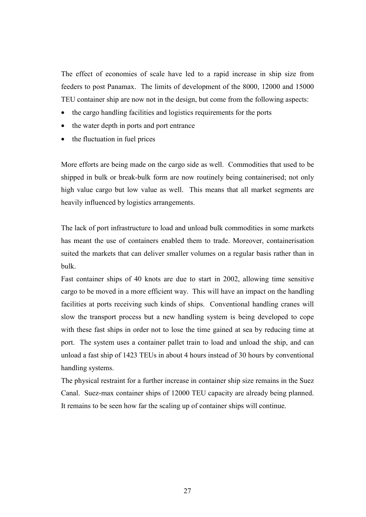The effect of economies of scale have led to a rapid increase in ship size from feeders to post Panamax. The limits of development of the 8000, 12000 and 15000 TEU container ship are now not in the design, but come from the following aspects:

- the cargo handling facilities and logistics requirements for the ports
- the water depth in ports and port entrance
- the fluctuation in fuel prices

More efforts are being made on the cargo side as well. Commodities that used to be shipped in bulk or break-bulk form are now routinely being containerised; not only high value cargo but low value as well. This means that all market segments are heavily influenced by logistics arrangements.

The lack of port infrastructure to load and unload bulk commodities in some markets has meant the use of containers enabled them to trade. Moreover, containerisation suited the markets that can deliver smaller volumes on a regular basis rather than in bulk.

Fast container ships of 40 knots are due to start in 2002, allowing time sensitive cargo to be moved in a more efficient way. This will have an impact on the handling facilities at ports receiving such kinds of ships. Conventional handling cranes will slow the transport process but a new handling system is being developed to cope with these fast ships in order not to lose the time gained at sea by reducing time at port. The system uses a container pallet train to load and unload the ship, and can unload a fast ship of 1423 TEUs in about 4 hours instead of 30 hours by conventional handling systems.

The physical restraint for a further increase in container ship size remains in the Suez Canal. Suez-max container ships of 12000 TEU capacity are already being planned. It remains to be seen how far the scaling up of container ships will continue.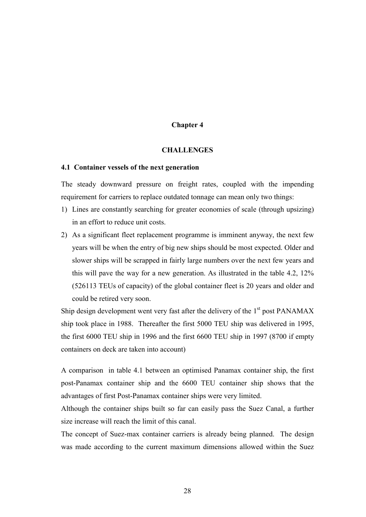# **Chapter 4**

#### **CHALLENGES**

### **4.1 Container vessels of the next generation**

The steady downward pressure on freight rates, coupled with the impending requirement for carriers to replace outdated tonnage can mean only two things:

- 1) Lines are constantly searching for greater economies of scale (through upsizing) in an effort to reduce unit costs.
- 2) As a significant fleet replacement programme is imminent anyway, the next few years will be when the entry of big new ships should be most expected. Older and slower ships will be scrapped in fairly large numbers over the next few years and this will pave the way for a new generation. As illustrated in the table 4.2, 12% (526113 TEUs of capacity) of the global container fleet is 20 years and older and could be retired very soon.

Ship design development went very fast after the delivery of the  $1<sup>st</sup>$  post PANAMAX ship took place in 1988. Thereafter the first 5000 TEU ship was delivered in 1995, the first 6000 TEU ship in 1996 and the first 6600 TEU ship in 1997 (8700 if empty containers on deck are taken into account)

A comparison in table 4.1 between an optimised Panamax container ship, the first post-Panamax container ship and the 6600 TEU container ship shows that the advantages of first Post-Panamax container ships were very limited.

Although the container ships built so far can easily pass the Suez Canal, a further size increase will reach the limit of this canal.

The concept of Suez-max container carriers is already being planned. The design was made according to the current maximum dimensions allowed within the Suez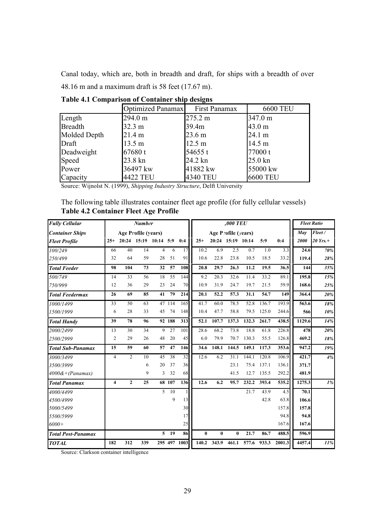Canal today, which are, both in breadth and draft, for ships with a breadth of over 48.16 m and a maximum draft is 58 feet (17.67 m).

|                | Optimized Panamax | First Panamax     | <b>6600 TEU</b>   |
|----------------|-------------------|-------------------|-------------------|
| Length         | 294.0 m           | 275.2 m           | 347.0 m           |
| <b>Breadth</b> | $32.3 \text{ m}$  | 39.4m             | $43.0 \text{ m}$  |
| Molded Depth   | 21.4 m            | 23.6 <sub>m</sub> | 24.1 m            |
| Draft          | $13.5 \text{ m}$  | 12.5 m            | 14.5 m            |
| Deadweight     | 67680 t           | 54655 $t$         | 77000 t           |
| Speed          | 23.8 kn           | 24.2 kn           | $25.0 \text{ km}$ |
| Power          | 36497 kw          | 41882 kw          | 55000 kw          |
| Capacity       | 4422 TEU          | 4340 TEU          | <b>6600 TEU</b>   |

**Table 4.1 Comparison of Container ship designs**

Source: Wijnolst N. (1999), *Shipping Industry Structure*, Delft University

The following table illustrates container fleet age profile (for fully cellular vessels) **Table 4.2 Container Fleet Age Profile**

| <b>Fully Cellular</b><br><b>Number</b> |                |                |                       |                |        | ,000 TEU     |                    | <b>Fleet Ratio</b> |                     |       |       |        |        |            |
|----------------------------------------|----------------|----------------|-----------------------|----------------|--------|--------------|--------------------|--------------------|---------------------|-------|-------|--------|--------|------------|
| <b>Container Ships</b>                 |                |                | Age Profile (years)   |                |        |              |                    |                    | Age Profile (years) |       |       |        | May    | Fleet/     |
| <b>Fleet Profile</b>                   | $25+$          |                | 20:24 15:19 10:14 5:9 |                |        | 0:4          | $25+$              |                    | 20:24 15:19 10:14   |       | 5:9   | 0:4    | 2000   | $20$ Yrs.+ |
| 100/249                                | 66             | 40             | 14                    | $\overline{4}$ | 6      | 17           | 10.2               | 6.9                | 2.5                 | 0.7   | 1.0   | 3.3    | 24.6   | 70%        |
| 250/499                                | 32             | 64             | 59                    | 28             | 51     | 91           | 10.6               | 22.8               | 23.8                | 10.5  | 18.5  | 33.2   | 119.4  | 28%        |
| <b>Total Feeder</b>                    | 98             | 104            | 73                    | 32             | 57     | 108          | 20.8               | 29.7               | 26.3                | 11.2  | 19.5  | 36.5   | 144    | 35%        |
| 500/749                                | 14             | 33             | 56                    | 18             | 55     | 144          | 9.2                | 20.3               | 32.6                | 11.4  | 33.2  | 89.1   | 195.8  | 15%        |
| 750/999                                | 12             | 36             | 29                    | 23             | 24     | 70           | 10.9               | 31.9               | 24.7                | 19.7  | 21.5  | 59.9   | 168.6  | 25%        |
| <b>Total Feedermax</b>                 | 26             | 69             | 85                    | 41             | 79     | 214          | 20.1               | 52.2               | 57.3                | 31.1  | 54.7  | 149    | 364.4  | 20%        |
| 1000/1499                              | 33             | 50             | 63                    |                | 47 114 | 165          | 41.7               | 60.0               | 78.5                | 52.8  | 136.7 | 193.9  | 563.6  | 18%        |
| 1500/1999                              | 6              | 28             | 33                    | 45             | 74     | 148          | 10.4               | 47.7               | 58.8                | 79.5  | 125.0 | 244.6  | 566    | 10%        |
| <b>Total Handy</b>                     | 39             | 78             | 96                    |                | 92 188 | 313          | 52.1               | 107.7              | 137.3               | 132.3 | 261.7 | 438.5  | 1129.6 | 14%        |
| 2000/2499                              | 13             | 30             | 34                    | 9              | 27     | 101          | 28.6               | 68.2               | 73.8                | 18.8  | 61.8  | 226.8  | 478    | 20%        |
| 2500/2999                              | $\overline{2}$ | 29             | 26                    | 48             | 20     | 45           | 6.0                | 79.9               | 70.7                | 130.3 | 55.5  | 126.8  | 469.2  | 18%        |
| <b>Total Sub-Panamax</b>               | 15             | 59             | 60                    | 57             | 47     | 146          | 34.6               | 148.1              | 144.5               | 149.1 | 117.3 | 353.6  | 947.2  | 19%        |
| 3000/3499                              | $\overline{4}$ | $\overline{2}$ | 10                    | 45             | 38     | 32           | 12.6               | 6.2                | 31.1                | 144.1 | 120.8 | 106.9  | 421.7  | 4%         |
| 3500/3999                              |                |                | 6                     | 20             | 37     | 36           |                    |                    | 23.1                | 75.4  | 137.1 | 136.1  | 371.7  |            |
| $4000\&+(Panamax)$                     |                |                | 9                     | 3              | 32     | 68           |                    |                    | 41.5                | 12.7  | 135.5 | 292.2  | 481.9  |            |
| <b>Total Panamax</b>                   | $\overline{4}$ | $\overline{2}$ | 25                    |                | 68 107 | 136          | 12.6               | 6.2                | 95.7                | 232.2 | 393.4 | 535.2  | 1275.3 | 1%         |
| 4000/4499                              |                |                |                       | 5              | 10     | $\mathbf{1}$ |                    |                    |                     | 21.7  | 43.9  | 4.5    | 70.1   |            |
| 4500/4999                              |                |                |                       |                | 9      | 13           |                    |                    |                     |       | 42.8  | 63.8   | 106.6  |            |
| 5000/5499                              |                |                |                       |                |        | 30           |                    |                    |                     |       |       | 157.8  | 157.8  |            |
| 5500/5999                              |                |                |                       |                |        | 17           |                    |                    |                     |       |       | 94.8   | 94.8   |            |
| $6000+$                                |                |                |                       |                |        | 25           |                    |                    |                     |       |       | 167.6  | 167.6  |            |
| <b>Total Post-Panamax</b>              |                |                |                       | 5              | 19     | 86           | $\mathbf{0}$       | $\bf{0}$           | $\mathbf{0}$        | 21.7  | 86.7  | 488.5  | 596.9  |            |
| <b>TOTAL</b>                           | 182            | 312            | 339                   |                |        | 295 497 1003 | $\overline{1}40.2$ | 343.9              | 461.1               | 577.6 | 933.3 | 2001.3 | 4457.4 | 11%        |

Source: Clarkson container intelligence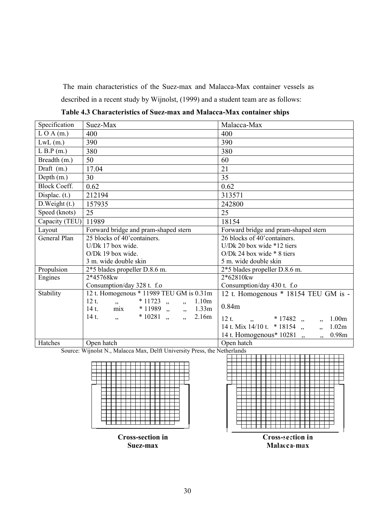The main characteristics of the Suez-max and Malacca-Max container vessels as described in a recent study by Wijnolst, (1999) and a student team are as follows:

| Specification        | Suez-Max                                                                                       | Malacca-Max                                              |  |  |  |  |
|----------------------|------------------------------------------------------------------------------------------------|----------------------------------------------------------|--|--|--|--|
| LOA(m.)              | 400                                                                                            | 400                                                      |  |  |  |  |
| $LwL$ (m.)           | 390                                                                                            | 390                                                      |  |  |  |  |
| $L$ B.P (m.)         | 380                                                                                            | 380                                                      |  |  |  |  |
| Breadth (m.)         | 50                                                                                             | 60                                                       |  |  |  |  |
| Draft (m.)           | 17.04                                                                                          | 21                                                       |  |  |  |  |
| Depth $(m.)$         | 30                                                                                             | 35                                                       |  |  |  |  |
| <b>Block Coeff.</b>  | 0.62                                                                                           | 0.62                                                     |  |  |  |  |
| Displac. $(t.)$      | 212194                                                                                         | 313571                                                   |  |  |  |  |
| $D$ . Weight $(t.)$  | 157935                                                                                         | 242800                                                   |  |  |  |  |
| Speed (knots)        | 25                                                                                             | 25                                                       |  |  |  |  |
| Capacity (TEU) 11989 |                                                                                                | 18154                                                    |  |  |  |  |
| Layout               | Forward bridge and pram-shaped stern                                                           | Forward bridge and pram-shaped stern                     |  |  |  |  |
| General Plan         | 25 blocks of 40' containers.                                                                   | 26 blocks of 40' containers.                             |  |  |  |  |
|                      | U/Dk 17 box wide.                                                                              | U/Dk 20 box wide $*12$ tiers                             |  |  |  |  |
|                      | O/Dk 19 box wide.                                                                              | O/Dk 24 box wide $*$ 8 tiers                             |  |  |  |  |
|                      | 3 m. wide double skin                                                                          | 5 m. wide double skin                                    |  |  |  |  |
| Propulsion           | 2*5 blades propeller D.8.6 m.                                                                  | 2*5 blades propeller D.8.6 m.                            |  |  |  |  |
| Engines              | 2*45768kw                                                                                      | 2*62810kw                                                |  |  |  |  |
|                      | Consumption/day 328 t. f.o                                                                     | Consumption/day 430 t. f.o                               |  |  |  |  |
| Stability            | 12 t. Homogenous * 11989 TEU GM is 0.31m                                                       | 12 t. Homogenous $*$ 18154 TEU GM is -                   |  |  |  |  |
|                      | $12t$ .<br>$*11723$ ,,,,<br>1.10m<br>$\overline{\phantom{a}}$<br>14 t. mix * 11989 ,, ,, 1.33m | 0.84m                                                    |  |  |  |  |
|                      | $*10281,$<br>$\overline{\phantom{a}}$<br>$14t$ .<br>2.16m<br>$\overline{\phantom{a}}$          | $12t$ .<br>$\frac{1}{2}, \frac{17482}{2},$<br>1.00m<br>, |  |  |  |  |
|                      |                                                                                                | 14 t. Mix 14/10 t. $*$ 18154,<br>1.02m<br>, 3, 5         |  |  |  |  |
|                      |                                                                                                | 14 t. Homogenous* 10281,<br>0.98m<br>, ,                 |  |  |  |  |
| Hatches              | Open hatch                                                                                     | Open hatch                                               |  |  |  |  |

**Table 4.3 Characteristics of Suez-max and Malacca-Max container ships**

Source: Wijnolst N., Malacca Max, Delft University Press, the Netherlands





**Malacca-max**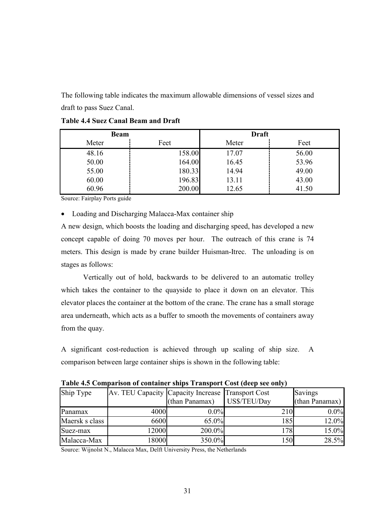The following table indicates the maximum allowable dimensions of vessel sizes and draft to pass Suez Canal.

| <b>Beam</b> |        | <b>Draft</b> |       |  |  |  |  |
|-------------|--------|--------------|-------|--|--|--|--|
| Meter       | Feet   | Meter        | Feet  |  |  |  |  |
| 48.16       | 158.00 | 17.07        | 56.00 |  |  |  |  |
| 50.00       | 164.00 | 16.45        | 53.96 |  |  |  |  |
| 55.00       | 180.33 | 14.94        | 49.00 |  |  |  |  |
| 60.00       | 196.83 | 13.11        | 43.00 |  |  |  |  |
| 60.96       | 200.00 | 12.65        | 41.50 |  |  |  |  |

**Table 4.4 Suez Canal Beam and Draft**

Source: Fairplay Ports guide

• Loading and Discharging Malacca-Max container ship

A new design, which boosts the loading and discharging speed, has developed a new concept capable of doing 70 moves per hour. The outreach of this crane is 74 meters. This design is made by crane builder Huisman-Itrec. The unloading is on stages as follows:

Vertically out of hold, backwards to be delivered to an automatic trolley which takes the container to the quayside to place it down on an elevator. This elevator places the container at the bottom of the crane. The crane has a small storage area underneath, which acts as a buffer to smooth the movements of containers away from the quay.

A significant cost-reduction is achieved through up scaling of ship size. A comparison between large container ships is shown in the following table:

|                |                                                   |                | Table 4.5 Comparison of Container sinps Transport Cost (ucep see only) |                |
|----------------|---------------------------------------------------|----------------|------------------------------------------------------------------------|----------------|
| Ship Type      | Av. TEU Capacity Capacity Increase Transport Cost |                |                                                                        | <b>Savings</b> |
|                |                                                   | (than Panamax) | US\$/TEU/Day                                                           | (than Panamax) |
| Panamax        | 4000                                              | $0.0\%$        | 210                                                                    | $0.0\%$        |
| Maersk s class | 6600                                              | $65.0\%$       | 185                                                                    | 12.0%          |
| Suez-max       | 12000                                             | 200.0%         | <b>78</b>                                                              | 15.0%          |
| Malacca-Max    | 18000                                             | 350.0%         | 150                                                                    | 28.5%          |

**Table 4.5 Comparison of container ships Transport Cost (deep see only)**

Source: Wijnolst N., Malacca Max, Delft University Press, the Netherlands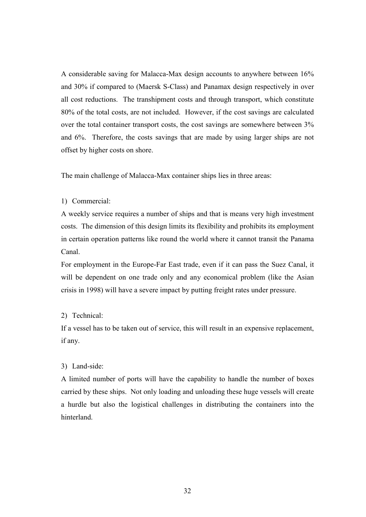A considerable saving for Malacca-Max design accounts to anywhere between 16% and 30% if compared to (Maersk S-Class) and Panamax design respectively in over all cost reductions. The transhipment costs and through transport, which constitute 80% of the total costs, are not included. However, if the cost savings are calculated over the total container transport costs, the cost savings are somewhere between 3% and 6%. Therefore, the costs savings that are made by using larger ships are not offset by higher costs on shore.

The main challenge of Malacca-Max container ships lies in three areas:

## 1) Commercial:

A weekly service requires a number of ships and that is means very high investment costs. The dimension of this design limits its flexibility and prohibits its employment in certain operation patterns like round the world where it cannot transit the Panama Canal.

For employment in the Europe-Far East trade, even if it can pass the Suez Canal, it will be dependent on one trade only and any economical problem (like the Asian crisis in 1998) will have a severe impact by putting freight rates under pressure.

### 2) Technical:

If a vessel has to be taken out of service, this will result in an expensive replacement, if any.

# 3) Land-side:

A limited number of ports will have the capability to handle the number of boxes carried by these ships. Not only loading and unloading these huge vessels will create a hurdle but also the logistical challenges in distributing the containers into the hinterland.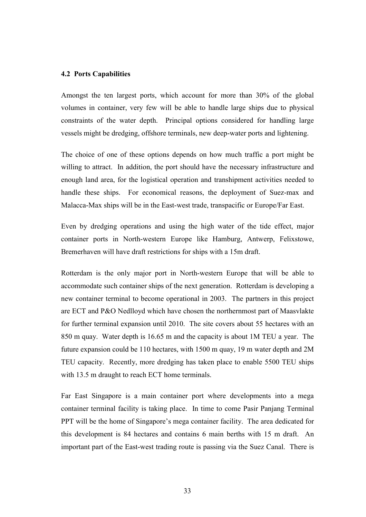### **4.2 Ports Capabilities**

Amongst the ten largest ports, which account for more than 30% of the global volumes in container, very few will be able to handle large ships due to physical constraints of the water depth. Principal options considered for handling large vessels might be dredging, offshore terminals, new deep-water ports and lightening.

The choice of one of these options depends on how much traffic a port might be willing to attract. In addition, the port should have the necessary infrastructure and enough land area, for the logistical operation and transhipment activities needed to handle these ships. For economical reasons, the deployment of Suez-max and Malacca-Max ships will be in the East-west trade, transpacific or Europe/Far East.

Even by dredging operations and using the high water of the tide effect, major container ports in North-western Europe like Hamburg, Antwerp, Felixstowe, Bremerhaven will have draft restrictions for ships with a 15m draft.

Rotterdam is the only major port in North-western Europe that will be able to accommodate such container ships of the next generation. Rotterdam is developing a new container terminal to become operational in 2003. The partners in this project are ECT and P&O Nedlloyd which have chosen the northernmost part of Maasvlakte for further terminal expansion until 2010. The site covers about 55 hectares with an 850 m quay. Water depth is 16.65 m and the capacity is about 1M TEU a year. The future expansion could be 110 hectares, with 1500 m quay, 19 m water depth and 2M TEU capacity. Recently, more dredging has taken place to enable 5500 TEU ships with 13.5 m draught to reach ECT home terminals.

Far East Singapore is a main container port where developments into a mega container terminal facility is taking place. In time to come Pasir Panjang Terminal PPT will be the home of Singapore's mega container facility. The area dedicated for this development is 84 hectares and contains 6 main berths with 15 m draft. An important part of the East-west trading route is passing via the Suez Canal. There is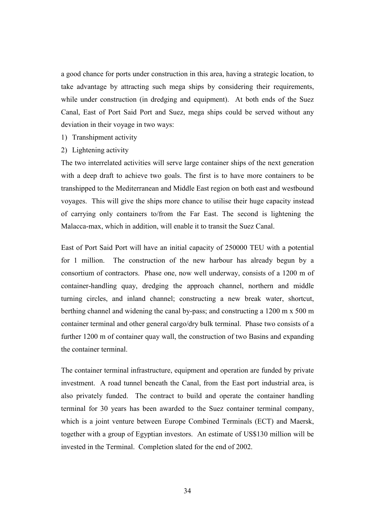a good chance for ports under construction in this area, having a strategic location, to take advantage by attracting such mega ships by considering their requirements, while under construction (in dredging and equipment). At both ends of the Suez Canal, East of Port Said Port and Suez, mega ships could be served without any deviation in their voyage in two ways:

- 1) Transhipment activity
- 2) Lightening activity

The two interrelated activities will serve large container ships of the next generation with a deep draft to achieve two goals. The first is to have more containers to be transhipped to the Mediterranean and Middle East region on both east and westbound voyages. This will give the ships more chance to utilise their huge capacity instead of carrying only containers to/from the Far East. The second is lightening the Malacca-max, which in addition, will enable it to transit the Suez Canal.

East of Port Said Port will have an initial capacity of 250000 TEU with a potential for 1 million. The construction of the new harbour has already begun by a consortium of contractors. Phase one, now well underway, consists of a 1200 m of container-handling quay, dredging the approach channel, northern and middle turning circles, and inland channel; constructing a new break water, shortcut, berthing channel and widening the canal by-pass; and constructing a 1200 m x 500 m container terminal and other general cargo/dry bulk terminal. Phase two consists of a further 1200 m of container quay wall, the construction of two Basins and expanding the container terminal.

The container terminal infrastructure, equipment and operation are funded by private investment. A road tunnel beneath the Canal, from the East port industrial area, is also privately funded. The contract to build and operate the container handling terminal for 30 years has been awarded to the Suez container terminal company, which is a joint venture between Europe Combined Terminals (ECT) and Maersk, together with a group of Egyptian investors. An estimate of US\$130 million will be invested in the Terminal. Completion slated for the end of 2002.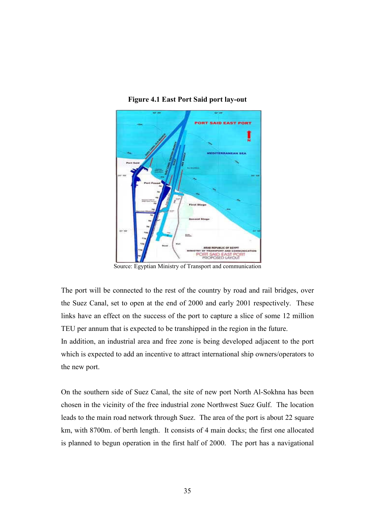



Source: Egyptian Ministry of Transport and communication

The port will be connected to the rest of the country by road and rail bridges, over the Suez Canal, set to open at the end of 2000 and early 2001 respectively. These links have an effect on the success of the port to capture a slice of some 12 million TEU per annum that is expected to be transhipped in the region in the future.

In addition, an industrial area and free zone is being developed adjacent to the port which is expected to add an incentive to attract international ship owners/operators to the new port.

On the southern side of Suez Canal, the site of new port North Al-Sokhna has been chosen in the vicinity of the free industrial zone Northwest Suez Gulf. The location leads to the main road network through Suez. The area of the port is about 22 square km, with 8700m. of berth length. It consists of 4 main docks; the first one allocated is planned to begun operation in the first half of 2000. The port has a navigational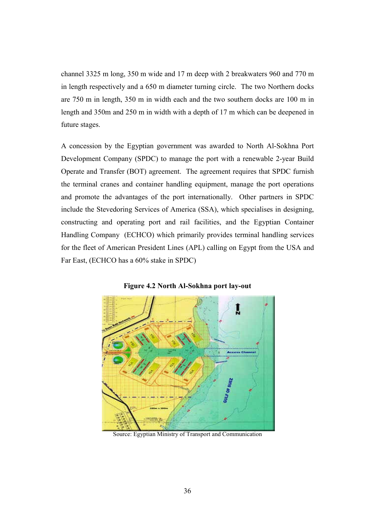channel 3325 m long, 350 m wide and 17 m deep with 2 breakwaters 960 and 770 m in length respectively and a 650 m diameter turning circle. The two Northern docks are 750 m in length, 350 m in width each and the two southern docks are 100 m in length and 350m and 250 m in width with a depth of 17 m which can be deepened in future stages.

A concession by the Egyptian government was awarded to North Al-Sokhna Port Development Company (SPDC) to manage the port with a renewable 2-year Build Operate and Transfer (BOT) agreement. The agreement requires that SPDC furnish the terminal cranes and container handling equipment, manage the port operations and promote the advantages of the port internationally. Other partners in SPDC include the Stevedoring Services of America (SSA), which specialises in designing, constructing and operating port and rail facilities, and the Egyptian Container Handling Company (ECHCO) which primarily provides terminal handling services for the fleet of American President Lines (APL) calling on Egypt from the USA and Far East, (ECHCO has a 60% stake in SPDC)



**Figure 4.2 North Al-Sokhna port lay-out**

Source: Egyptian Ministry of Transport and Communication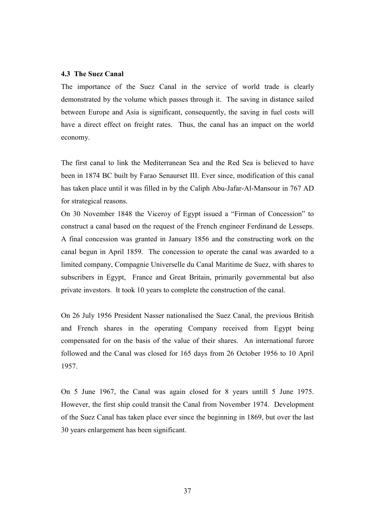### **4.3 The Suez Canal**

The importance of the Suez Canal in the service of world trade is clearly demonstrated by the volume which passes through it. The saving in distance sailed between Europe and Asia is significant, consequently, the saving in fuel costs will have a direct effect on freight rates. Thus, the canal has an impact on the world economy.

The first canal to link the Mediterranean Sea and the Red Sea is believed to have been in 1874 BC built by Farao Senaurset III. Ever since, modification of this canal has taken place until it was filled in by the Caliph Abu-Jafar-Al-Mansour in 767 AD for strategical reasons.

On 30 November 1848 the Viceroy of Egypt issued a "Firman of Concession" to construct a canal based on the request of the French engineer Ferdinand de Lesseps. A final concession was granted in January 1856 and the constructing work on the canal begun in April 1859. The concession to operate the canal was awarded to a limited company, Compagnie Universelle du Canal Maritime de Suez, with shares to subscribers in Egypt, France and Great Britain, primarily governmental but also private investors. It took 10 years to complete the construction of the canal.

On 26 July 1956 President Nasser nationalised the Suez Canal, the previous British and French shares in the operating Company received from Egypt being compensated for on the basis of the value of their shares. An international furore followed and the Canal was closed for 165 days from 26 October 1956 to 10 April 1957.

On 5 June 1967, the Canal was again closed for 8 years untill 5 June 1975. However, the first ship could transit the Canal from November 1974. Development of the Suez Canal has taken place ever since the beginning in 1869, but over the last 30 years enlargement has been significant.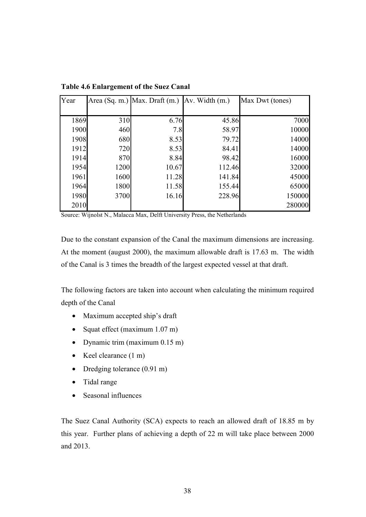| Year |      | Area (Sq. m.) Max. Draft (m.) | $Av.$ Width $(m.)$ | Max Dwt (tones) |
|------|------|-------------------------------|--------------------|-----------------|
|      |      |                               |                    |                 |
| 1869 | 310  | 6.76                          | 45.86              | 7000            |
| 1900 | 460  | 7.8                           | 58.97              | 10000           |
| 1908 | 680  | 8.53                          | 79.72              | 14000           |
| 1912 | 720  | 8.53                          | 84.41              | 14000           |
| 1914 | 870  | 8.84                          | 98.42              | 16000           |
| 1954 | 1200 | 10.67                         | 112.46             | 32000           |
| 1961 | 1600 | 11.28                         | 141.84             | 45000           |
| 1964 | 1800 | 11.58                         | 155.44             | 65000           |
| 1980 | 3700 | 16.16                         | 228.96             | 150000          |
| 2010 |      |                               |                    | 280000          |

**Table 4.6 Enlargement of the Suez Canal**

Source: Wijnolst N., Malacca Max, Delft University Press, the Netherlands

Due to the constant expansion of the Canal the maximum dimensions are increasing. At the moment (august 2000), the maximum allowable draft is 17.63 m. The width of the Canal is 3 times the breadth of the largest expected vessel at that draft.

The following factors are taken into account when calculating the minimum required depth of the Canal

- Maximum accepted ship's draft
- Squat effect (maximum 1.07 m)
- Dynamic trim (maximum 0.15 m)
- Keel clearance (1 m)
- Dredging tolerance (0.91 m)
- Tidal range
- Seasonal influences

The Suez Canal Authority (SCA) expects to reach an allowed draft of 18.85 m by this year. Further plans of achieving a depth of 22 m will take place between 2000 and 2013.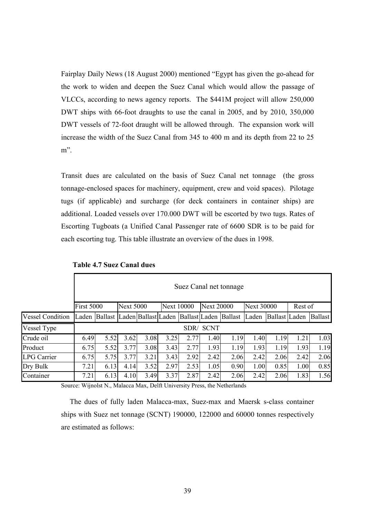Fairplay Daily News (18 August 2000) mentioned "Egypt has given the go-ahead for the work to widen and deepen the Suez Canal which would allow the passage of VLCCs, according to news agency reports. The \$441M project will allow 250,000 DWT ships with 66-foot draughts to use the canal in 2005, and by 2010, 350,000 DWT vessels of 72-foot draught will be allowed through. The expansion work will increase the width of the Suez Canal from 345 to 400 m and its depth from 22 to 25 m".

Transit dues are calculated on the basis of Suez Canal net tonnage (the gross tonnage-enclosed spaces for machinery, equipment, crew and void spaces). Pilotage tugs (if applicable) and surcharge (for deck containers in container ships) are additional. Loaded vessels over 170.000 DWT will be escorted by two tugs. Rates of Escorting Tugboats (a Unified Canal Passenger rate of 6600 SDR is to be paid for each escorting tug. This table illustrate an overview of the dues in 1998.

|                         |                   | Suez Canal net tonnage                                                |                  |      |      |                   |             |                   |       |                   |         |                |
|-------------------------|-------------------|-----------------------------------------------------------------------|------------------|------|------|-------------------|-------------|-------------------|-------|-------------------|---------|----------------|
|                         | <b>First 5000</b> |                                                                       | <b>Next 5000</b> |      |      | <b>Next 10000</b> |             | <b>Next 20000</b> |       | <b>Next 30000</b> | Rest of |                |
| <b>Vessel Condition</b> |                   | Laden   Ballast   Laden   Ballast   Laden   Ballast   Laden   Ballast |                  |      |      |                   |             |                   | Laden | Ballast Laden     |         | <b>Ballast</b> |
| Vessel Type             |                   |                                                                       |                  |      |      | SDR/              | <b>SCNT</b> |                   |       |                   |         |                |
| Crude oil               | 6.49              | 5.52                                                                  | 3.62             | 3.08 | 3.25 | 2.77              | 1.40        | 1.19              | 1.40  | 1.19              | 1.21    | 1.03           |
| Product                 | 6.75              | 5.52                                                                  | 3.77             | 3.08 | 3.43 | 2.77              | 1.93        | 1.19              | 1.93  | 1.19              | 1.93    | 1.19           |
| <b>LPG Carrier</b>      | 6.75              | 5.75                                                                  | 3.77             | 3.21 | 3.43 | 2.92              | 2.42        | 2.06              | 2.42  | 2.06              | 2.42    | 2.06           |
| Dry Bulk                | 7.21              | 6.13                                                                  | 4.14             | 3.52 | 2.97 | 2.53              | 1.05        | 0.90              | 1.00  | 0.85              | 1.00    | 0.85           |
| Container               | 7.21              | 6.13                                                                  | 4.10             | 3.49 | 3.37 | 2.87              | 2.42        | 2.06              | 2.42  | 2.06              | 1.83    | 1.56           |

 **Table 4.7 Suez Canal dues**

Г

Source: Wijnolst N., Malacca Max, Delft University Press, the Netherlands

The dues of fully laden Malacca-max, Suez-max and Maersk s-class container ships with Suez net tonnage (SCNT) 190000, 122000 and 60000 tonnes respectively are estimated as follows: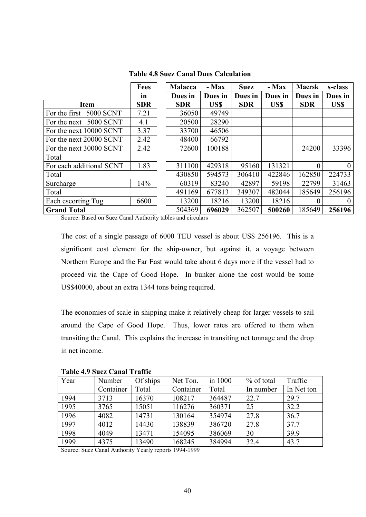|                          | Fees       | <b>Malacca</b> | - Max   | <b>Suez</b> | - Max   | <b>Maersk</b> | s-class  |
|--------------------------|------------|----------------|---------|-------------|---------|---------------|----------|
|                          | in         | Dues in        | Dues in | Dues in     | Dues in | Dues in       | Dues in  |
| <b>Item</b>              | <b>SDR</b> | <b>SDR</b>     | US\$    | <b>SDR</b>  | US\$    | <b>SDR</b>    | US\$     |
| For the first 5000 SCNT  | 7.21       | 36050          | 49749   |             |         |               |          |
| For the next 5000 SCNT   | 4.1        | 20500          | 28290   |             |         |               |          |
| For the next 10000 SCNT  | 3.37       | 33700          | 46506   |             |         |               |          |
| For the next 20000 SCNT  | 2.42       | 48400          | 66792   |             |         |               |          |
| For the next 30000 SCNT  | 2.42       | 72600          | 100188  |             |         | 24200         | 33396    |
| Total                    |            |                |         |             |         |               |          |
| For each additional SCNT | 1.83       | 311100         | 429318  | 95160       | 131321  | $\theta$      | $\Omega$ |
| Total                    |            | 430850         | 594573  | 306410      | 422846  | 162850        | 224733   |
| Surcharge                | 14%        | 60319          | 83240   | 42897       | 59198   | 22799         | 31463    |
| Total                    |            | 491169         | 677813  | 349307      | 482044  | 185649        | 256196   |
| Each escorting Tug       | 6600       | 13200          | 18216   | 13200       | 18216   | $\theta$      | $\Omega$ |
| <b>Grand Total</b>       |            | 504369         | 696029  | 362507      | 500260  | 185649        | 256196   |

**Table 4.8 Suez Canal Dues Calculation**

Source: Based on Suez Canal Authority tables and circulars

The cost of a single passage of 6000 TEU vessel is about US\$ 256196. This is a significant cost element for the ship-owner, but against it, a voyage between Northern Europe and the Far East would take about 6 days more if the vessel had to proceed via the Cape of Good Hope. In bunker alone the cost would be some US\$40000, about an extra 1344 tons being required.

The economies of scale in shipping make it relatively cheap for larger vessels to sail around the Cape of Good Hope. Thus, lower rates are offered to them when transiting the Canal. This explains the increase in transiting net tonnage and the drop in net income.

| Year | Number    | Of ships | Net Ton.  | in 1000 | % of total | Traffic    |  |  |  |
|------|-----------|----------|-----------|---------|------------|------------|--|--|--|
|      | Container | Total    | Container | Total   | In number  | In Net ton |  |  |  |
| 1994 | 3713      | 16370    | 108217    | 364487  | 22.7       | 29.7       |  |  |  |
| 1995 | 3765      | 15051    | 116276    | 360371  | 25         | 32.2       |  |  |  |
| 1996 | 4082      | 14731    | 130164    | 354974  | 27.8       | 36.7       |  |  |  |
| 1997 | 4012      | 14430    | 138839    | 386720  | 27.8       | 37.7       |  |  |  |
| 1998 | 4049      | 13471    | 154095    | 386069  | 30         | 39.9       |  |  |  |
| 1999 | 4375      | 13490    | 168245    | 384994  | 32.4       | 43.7       |  |  |  |

**Table 4.9 Suez Canal Traffic**

Source: Suez Canal Authority Yearly reports 1994-1999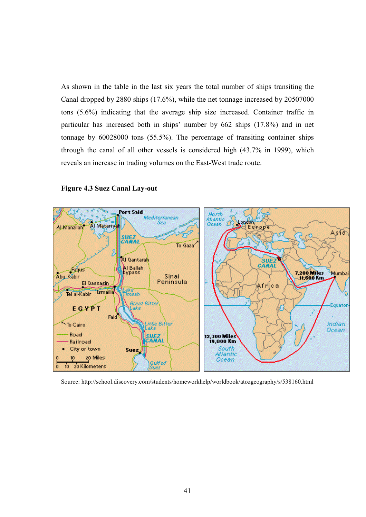As shown in the table in the last six years the total number of ships transiting the Canal dropped by 2880 ships (17.6%), while the net tonnage increased by 20507000 tons (5.6%) indicating that the average ship size increased. Container traffic in particular has increased both in ships' number by 662 ships (17.8%) and in net tonnage by 60028000 tons (55.5%). The percentage of transiting container ships through the canal of all other vessels is considered high (43.7% in 1999), which reveals an increase in trading volumes on the East-West trade route.



#### **Figure 4.3 Suez Canal Lay-out**

Source: http://school.discovery.com/students/homeworkhelp/worldbook/atozgeography/s/538160.html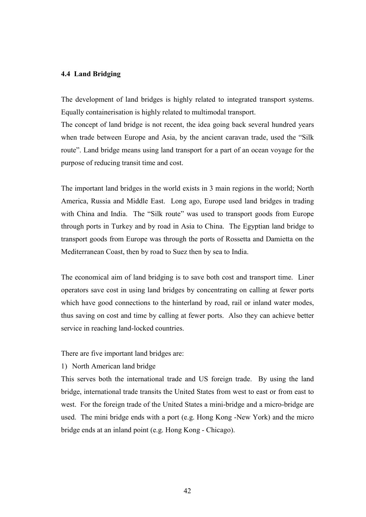## **4.4 Land Bridging**

The development of land bridges is highly related to integrated transport systems. Equally containerisation is highly related to multimodal transport.

The concept of land bridge is not recent, the idea going back several hundred years when trade between Europe and Asia, by the ancient caravan trade, used the "Silk route". Land bridge means using land transport for a part of an ocean voyage for the purpose of reducing transit time and cost.

The important land bridges in the world exists in 3 main regions in the world; North America, Russia and Middle East. Long ago, Europe used land bridges in trading with China and India. The "Silk route" was used to transport goods from Europe through ports in Turkey and by road in Asia to China. The Egyptian land bridge to transport goods from Europe was through the ports of Rossetta and Damietta on the Mediterranean Coast, then by road to Suez then by sea to India.

The economical aim of land bridging is to save both cost and transport time. Liner operators save cost in using land bridges by concentrating on calling at fewer ports which have good connections to the hinterland by road, rail or inland water modes, thus saving on cost and time by calling at fewer ports. Also they can achieve better service in reaching land-locked countries.

There are five important land bridges are:

1) North American land bridge

This serves both the international trade and US foreign trade. By using the land bridge, international trade transits the United States from west to east or from east to west. For the foreign trade of the United States a mini-bridge and a micro-bridge are used. The mini bridge ends with a port (e.g. Hong Kong -New York) and the micro bridge ends at an inland point (e.g. Hong Kong - Chicago).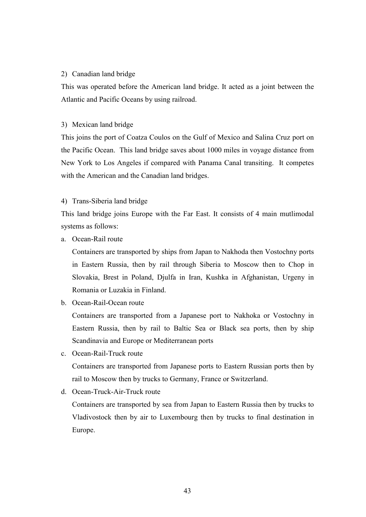## 2) Canadian land bridge

This was operated before the American land bridge. It acted as a joint between the Atlantic and Pacific Oceans by using railroad.

## 3) Mexican land bridge

This joins the port of Coatza Coulos on the Gulf of Mexico and Salina Cruz port on the Pacific Ocean. This land bridge saves about 1000 miles in voyage distance from New York to Los Angeles if compared with Panama Canal transiting. It competes with the American and the Canadian land bridges.

## 4) Trans-Siberia land bridge

This land bridge joins Europe with the Far East. It consists of 4 main mutlimodal systems as follows:

a. Ocean-Rail route

Containers are transported by ships from Japan to Nakhoda then Vostochny ports in Eastern Russia, then by rail through Siberia to Moscow then to Chop in Slovakia, Brest in Poland, Djulfa in Iran, Kushka in Afghanistan, Urgeny in Romania or Luzakia in Finland.

b. Ocean-Rail-Ocean route

Containers are transported from a Japanese port to Nakhoka or Vostochny in Eastern Russia, then by rail to Baltic Sea or Black sea ports, then by ship Scandinavia and Europe or Mediterranean ports

c. Ocean-Rail-Truck route

Containers are transported from Japanese ports to Eastern Russian ports then by rail to Moscow then by trucks to Germany, France or Switzerland.

d. Ocean-Truck-Air-Truck route

Containers are transported by sea from Japan to Eastern Russia then by trucks to Vladivostock then by air to Luxembourg then by trucks to final destination in Europe.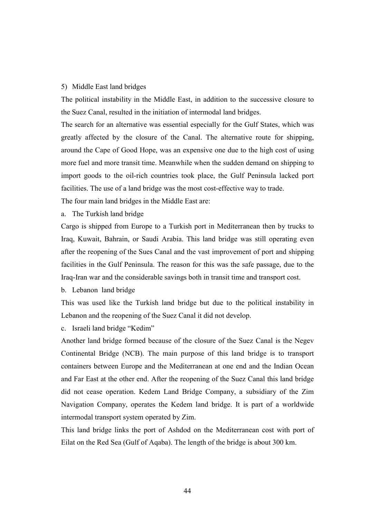### 5) Middle East land bridges

The political instability in the Middle East, in addition to the successive closure to the Suez Canal, resulted in the initiation of intermodal land bridges.

The search for an alternative was essential especially for the Gulf States, which was greatly affected by the closure of the Canal. The alternative route for shipping, around the Cape of Good Hope, was an expensive one due to the high cost of using more fuel and more transit time. Meanwhile when the sudden demand on shipping to import goods to the oil-rich countries took place, the Gulf Peninsula lacked port facilities. The use of a land bridge was the most cost-effective way to trade.

The four main land bridges in the Middle East are:

a. The Turkish land bridge

Cargo is shipped from Europe to a Turkish port in Mediterranean then by trucks to Iraq, Kuwait, Bahrain, or Saudi Arabia. This land bridge was still operating even after the reopening of the Sues Canal and the vast improvement of port and shipping facilities in the Gulf Peninsula. The reason for this was the safe passage, due to the Iraq-Iran war and the considerable savings both in transit time and transport cost.

b. Lebanon land bridge

This was used like the Turkish land bridge but due to the political instability in Lebanon and the reopening of the Suez Canal it did not develop.

c. Israeli land bridge "Kedim"

Another land bridge formed because of the closure of the Suez Canal is the Negev Continental Bridge (NCB). The main purpose of this land bridge is to transport containers between Europe and the Mediterranean at one end and the Indian Ocean and Far East at the other end. After the reopening of the Suez Canal this land bridge did not cease operation. Kedem Land Bridge Company, a subsidiary of the Zim Navigation Company, operates the Kedem land bridge. It is part of a worldwide intermodal transport system operated by Zim.

This land bridge links the port of Ashdod on the Mediterranean cost with port of Eilat on the Red Sea (Gulf of Aqaba). The length of the bridge is about 300 km.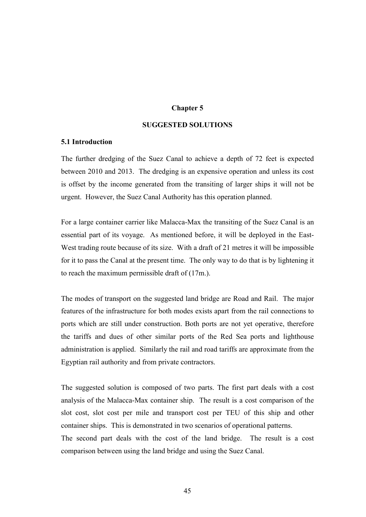# **Chapter 5**

## **SUGGESTED SOLUTIONS**

### **5.1 Introduction**

The further dredging of the Suez Canal to achieve a depth of 72 feet is expected between 2010 and 2013. The dredging is an expensive operation and unless its cost is offset by the income generated from the transiting of larger ships it will not be urgent. However, the Suez Canal Authority has this operation planned.

For a large container carrier like Malacca-Max the transiting of the Suez Canal is an essential part of its voyage. As mentioned before, it will be deployed in the East-West trading route because of its size. With a draft of 21 metres it will be impossible for it to pass the Canal at the present time. The only way to do that is by lightening it to reach the maximum permissible draft of (17m.).

The modes of transport on the suggested land bridge are Road and Rail. The major features of the infrastructure for both modes exists apart from the rail connections to ports which are still under construction. Both ports are not yet operative, therefore the tariffs and dues of other similar ports of the Red Sea ports and lighthouse administration is applied. Similarly the rail and road tariffs are approximate from the Egyptian rail authority and from private contractors.

The suggested solution is composed of two parts. The first part deals with a cost analysis of the Malacca-Max container ship. The result is a cost comparison of the slot cost, slot cost per mile and transport cost per TEU of this ship and other container ships. This is demonstrated in two scenarios of operational patterns.

The second part deals with the cost of the land bridge. The result is a cost comparison between using the land bridge and using the Suez Canal.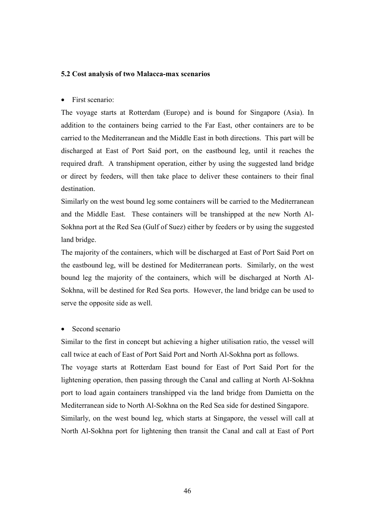## **5.2 Cost analysis of two Malacca-max scenarios**

• First scenario:

The voyage starts at Rotterdam (Europe) and is bound for Singapore (Asia). In addition to the containers being carried to the Far East, other containers are to be carried to the Mediterranean and the Middle East in both directions. This part will be discharged at East of Port Said port, on the eastbound leg, until it reaches the required draft. A transhipment operation, either by using the suggested land bridge or direct by feeders, will then take place to deliver these containers to their final destination.

Similarly on the west bound leg some containers will be carried to the Mediterranean and the Middle East. These containers will be transhipped at the new North Al-Sokhna port at the Red Sea (Gulf of Suez) either by feeders or by using the suggested land bridge.

The majority of the containers, which will be discharged at East of Port Said Port on the eastbound leg, will be destined for Mediterranean ports. Similarly, on the west bound leg the majority of the containers, which will be discharged at North Al-Sokhna, will be destined for Red Sea ports. However, the land bridge can be used to serve the opposite side as well.

Second scenario

Similar to the first in concept but achieving a higher utilisation ratio, the vessel will call twice at each of East of Port Said Port and North Al-Sokhna port as follows. The voyage starts at Rotterdam East bound for East of Port Said Port for the lightening operation, then passing through the Canal and calling at North Al-Sokhna port to load again containers transhipped via the land bridge from Damietta on the Mediterranean side to North Al-Sokhna on the Red Sea side for destined Singapore. Similarly, on the west bound leg, which starts at Singapore, the vessel will call at North Al-Sokhna port for lightening then transit the Canal and call at East of Port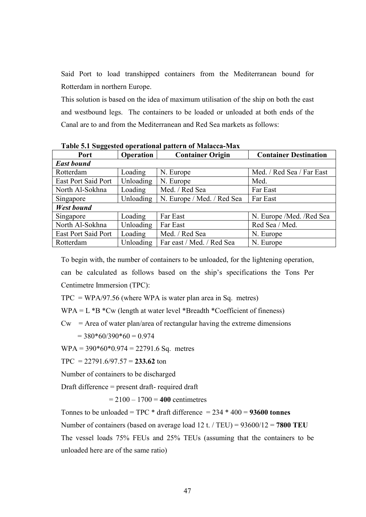Said Port to load transhipped containers from the Mediterranean bound for Rotterdam in northern Europe.

This solution is based on the idea of maximum utilisation of the ship on both the east and westbound legs. The containers to be loaded or unloaded at both ends of the Canal are to and from the Mediterranean and Red Sea markets as follows:

| --                         |                  |                            |                              |
|----------------------------|------------------|----------------------------|------------------------------|
| Port                       | <b>Operation</b> | <b>Container Origin</b>    | <b>Container Destination</b> |
| <b>East bound</b>          |                  |                            |                              |
| Rotterdam                  | Loading          | N. Europe                  | Med. / Red Sea / Far East    |
| <b>East Port Said Port</b> | Unloading        | N. Europe                  | Med.                         |
| North Al-Sokhna            | Loading          | Med. / Red Sea             | Far East                     |
| Singapore                  | Unloading        | N. Europe / Med. / Red Sea | Far East                     |
| <b>West bound</b>          |                  |                            |                              |
| Singapore                  | Loading          | Far East                   | N. Europe / Med. / Red Sea   |
| North Al-Sokhna            | Unloading        | Far East                   | Red Sea / Med.               |
| <b>East Port Said Port</b> | Loading          | Med. / Red Sea             | N. Europe                    |
| Rotterdam                  | Unloading        | Far east / Med. / Red Sea  | N. Europe                    |

**Table 5.1 Suggested operational pattern of Malacca-Max**

To begin with, the number of containers to be unloaded, for the lightening operation, can be calculated as follows based on the ship's specifications the Tons Per Centimetre Immersion (TPC):

 $TPC = WPA/97.56$  (where WPA is water plan area in Sq. metres)

 $WPA = L *B *Cw$  (length at water level \*Breadth \*Coefficient of fineness)

 $Cw = Area of water plan/area of rectangular having the extreme dimensions$ 

 $= 380*60/390*60 = 0.974$ 

 $WPA = 390*60*0.974 = 22791.6$  Sq. metres

TPC =  $22791.6/97.57 = 233.62$  ton

Number of containers to be discharged

Draft difference = present draft- required draft

 $= 2100 - 1700 = 400$  centimetres

Tonnes to be unloaded = TPC \* draft difference = 234 \* 400 = **93600 tonnes**

Number of containers (based on average load 12 t. / TEU) = 93600/12 = **7800 TEU**

The vessel loads 75% FEUs and 25% TEUs (assuming that the containers to be unloaded here are of the same ratio)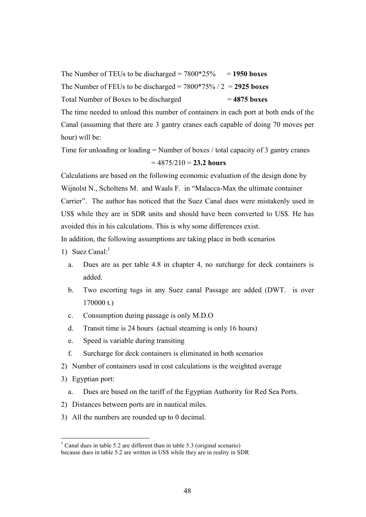The Number of TEUs to be discharged  $= 7800*25\% = 1950$  boxes The Number of FEUs to be discharged = 7800\*75% / 2 = **2925 boxes** Total Number of Boxes to be discharged = **4875 boxes**

The time needed to unload this number of containers in each port at both ends of the Canal (assuming that there are 3 gantry cranes each capable of doing 70 moves per hour) will be:

Time for unloading or loading = Number of boxes / total capacity of 3 gantry cranes  $= 4875/210 = 23.2$  hours

Calculations are based on the following economic evaluation of the design done by Wijnolst N., Scholtens M. and Waals F. in "Malacca-Max the ultimate container Carrier". The author has noticed that the Suez Canal dues were mistakenly used in US\$ while they are in SDR units and should have been converted to US\$. He has avoided this in his calculations. This is why some differences exist.

In addition, the following assumptions are taking place in both scenarios

- 1) Suez Canal: $<sup>1</sup>$ </sup>
	- a. Dues are as per table 4.8 in chapter 4, no surcharge for deck containers is added.
	- b. Two escorting tugs in any Suez canal Passage are added (DWT. is over 170000 t.)
	- c. Consumption during passage is only M.D.O
	- d. Transit time is 24 hours (actual steaming is only 16 hours)
	- e. Speed is variable during transiting
	- f. Surcharge for deck containers is eliminated in both scenarios
- 2) Number of containers used in cost calculations is the weighted average
- 3) Egyptian port:

 $\overline{a}$ 

- a. Dues are based on the tariff of the Egyptian Authority for Red Sea Ports.
- 2) Distances between ports are in nautical miles.
- 3) All the numbers are rounded up to 0 decimal.

<sup>&</sup>lt;sup>1</sup> Canal dues in table 5.2 are different than in table 5.3 (original scenario) because dues in table 5.2 are written in US\$ while they are in reality in SDR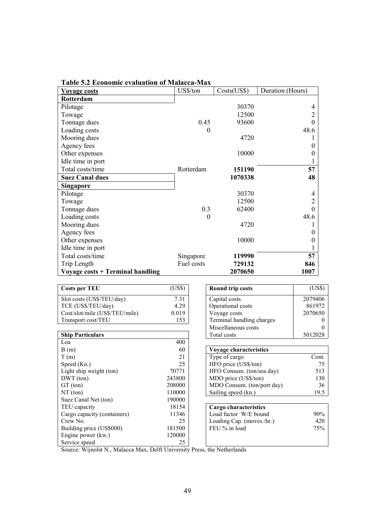| <b>Voyage costs</b>                     | US\$/ton   | Costs(US\$) | Duration (Hours) |
|-----------------------------------------|------------|-------------|------------------|
| Rotterdam                               |            |             |                  |
| Pilotage                                |            | 30370       | 4                |
| Towage                                  |            | 12500       | $\overline{c}$   |
| Tonnage dues                            | 0.45       | 93600       | $\overline{0}$   |
| Loading costs                           | $\theta$   |             | 48.6             |
| Mooring dues                            |            | 4720        |                  |
| Agency fees                             |            |             | $\theta$         |
| Other expenses                          |            | 10000       | $\theta$         |
| Idle time in port                       |            |             |                  |
| Total costs/time                        | Rotterdam  | 151190      | 57               |
| <b>Suez Canal dues</b>                  |            | 1070338     | 48               |
| <b>Singapore</b>                        |            |             |                  |
| Pilotage                                |            | 30370       | 4                |
| Towage                                  |            | 12500       | 2                |
| Tonnage dues                            | 0.3        | 62400       | $\overline{0}$   |
| Loading costs                           | $\theta$   |             | 48.6             |
| Mooring dues                            |            | 4720        |                  |
| Agency fees                             |            |             | $\theta$         |
| Other expenses                          |            | 10000       | 0                |
| Idle time in port                       |            |             |                  |
| Total costs/time                        | Singapore  | 119990      | 57               |
| Trip Length                             | Fuel costs | 729132      | 846              |
| <b>Voyage costs + Terminal handling</b> |            | 2070650     | 1007             |

**Table 5.2 Economic evaluation of Malacca-Max**

| <b>Costs per TEU</b>                                                     | (US\$) | <b>Round trip costs</b>    | (US\$)  |
|--------------------------------------------------------------------------|--------|----------------------------|---------|
|                                                                          |        |                            |         |
| Slot costs (US\$/TEU/day)                                                | 7.31   | Capital costs              | 2079406 |
| TCE (US\$/TEU/day)                                                       | 4.29   | Operational costs          | 861972  |
| Cost/slot/mile (US\$/TEU/mile)                                           | 0.019  | Voyage costs               | 2070650 |
| Transport cost/TEU                                                       | 153    | Terminal handling charges  |         |
|                                                                          |        | Miscellaneous costs        | $_{0}$  |
| <b>Ship Particulars</b>                                                  |        | Total costs                | 5012028 |
| Loa                                                                      | 400    |                            |         |
| B(m)                                                                     | 60     | Voyage characteristics     |         |
| T(m)                                                                     | 21     | Type of cargo              | Cont.   |
| Speed (Kn.)                                                              | 25     | HFO price (US\$/ton)       | 75      |
| Light ship weight (ton)                                                  | 70771  | HFO Consum. (ton/sea day)  | 513     |
| DWT (ton)                                                                | 243800 | MDO price (US\$/ton)       | 130     |
| GT (ton)                                                                 | 208000 | MDO Consum. (ton/port day) | 36      |
| NT (ton)                                                                 | 110000 | Sailing speed (kn.)        | 19.5    |
| Suez Canal Net (ton)                                                     | 190000 |                            |         |
| TEU capacity                                                             | 18154  | Cargo characteristics      |         |
| Cargo capacity (containers)                                              | 11346  | Load factor W/E bound      | 90%     |
| Crew No.                                                                 | 25     | Loading Cap. (moves /hr.)  | 420     |
| Building price (US\$000)                                                 | 181500 | FEU % in load              | 75%     |
| Engine power (kw.)                                                       | 120000 |                            |         |
| Service speed                                                            | 25     |                            |         |
| Course: Wiinolst M. Molecce May, Dolft University Prace, the Natherlands |        |                            |         |

Source: Wijnolst N., Malacca Max, Delft University Press, the Netherlands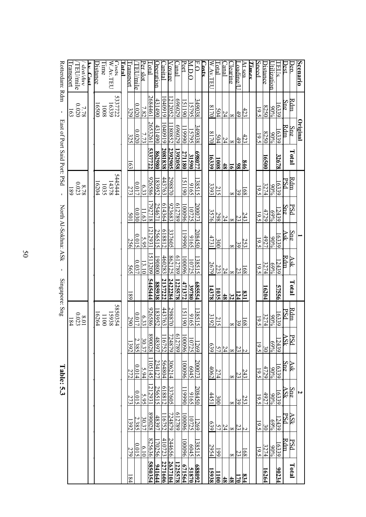|                  |                            |                      |                | Table: 5.3           |                 |                                  | Singapore: Sng    |                   | North Al-Sokhna: ASk            |                      |                                                     | East of Port Said Port: PSd |                   | J.                          | Rotterdam: Rdm                    |
|------------------|----------------------------|----------------------|----------------|----------------------|-----------------|----------------------------------|-------------------|-------------------|---------------------------------|----------------------|-----------------------------------------------------|-----------------------------|-------------------|-----------------------------|-----------------------------------|
|                  |                            |                      |                |                      |                 | 0.023<br>10.8<br>$\overline{84}$ |                   |                   |                                 |                      | $\begin{array}{c} 8.78 \\ 0.023 \end{array}$<br>189 |                             |                   | $\frac{7.78}{0.020}$<br>Ιé3 | Transport<br>TEU/mile<br>slot/dav |
|                  |                            |                      |                |                      |                 |                                  |                   |                   |                                 |                      |                                                     |                             |                   |                             | Av Cost                           |
|                  |                            |                      |                |                      |                 | 16264                            |                   |                   |                                 |                      | 16204                                               |                             |                   | 0059                        | <b>Distance</b>                   |
|                  |                            |                      |                |                      |                 | 0011                             |                   |                   |                                 |                      | 1035                                                |                             |                   | 1008                        | Time                              |
|                  |                            |                      |                |                      |                 | 5850354<br>15938                 |                   |                   |                                 |                      | 5445444<br>14378                                    |                             |                   | 5337722                     | W.Av.TEU<br>Costs                 |
|                  |                            |                      |                |                      |                 |                                  |                   |                   |                                 |                      |                                                     |                             |                   |                             | Tatal                             |
| $\overline{184}$ | 279                        | 1392                 | 273            | 272                  | 1392            | 290                              | $\overline{8}$    | 565               | 256                             | 501                  | 273                                                 | 163                         | 325               | 329                         | ransport                          |
|                  | 0.015                      | 2.385                | 0.015          | 0.014                | 2.385           | 0.017                            |                   | 0.037             | 0.015                           | 0.030                | 0.017                                               |                             | 0.020             | 0.020                       | TEU/mile                          |
|                  | 6.10                       | 30.37                | 5.95           | 5.94                 | 30.37           | 6.33                             |                   | 13.10             | 5.95                            | $\Xi$                | 6.33                                                |                             | 7.73              | 7.82                        | Per slot                          |
| 585035           | 825636                     | 890028               | 212931         | 105145               | 890028          | 926586                           | 5445444           | 513209            | 212931                          | 792718               | 926586                                              | 5337722                     | 2653261           | 2684461                     | Total                             |
| 94164            | 170256                     | 48397                | 256515         | 234127               | 48397           | .83952                           | 885938            | 190800            | 256515                          | 254671               | 183952                                              | 862980                      | 431490            | 431490                      | Joeration                         |
| 2271606          | 410723                     | 16752                | 618812         | 564804               | 16752           | 443763                           | 2137222           | 460283            | 618812                          | 614364               | 443763                                              | 2081838                     | 040919            | 040919                      | Capital                           |
| 263710           | 244656                     | 724879               | 337605         | 306214               | 724879          | 298870                           | 2422284           | 862125            | 337605                          | 923683               | 298870                                              | 2392905                     | 180852            | 212052                      | <u>Vovage</u>                     |
| 1225578          |                            | 612789               |                |                      | 612789          |                                  | 225578            | 612789            |                                 | 612789               |                                                     | 392058                      | 620969            | 670969                      | Canal                             |
| 67156            | 00096                      | 96000                | 06661          | 00096                | 00096           | 51190                            | 471372            | 96000             | 06661                           | 00096                | 51190                                               | 271180                      | 19990             | 51190                       | Port                              |
| 51870            | 6045                       | <u>1269</u><br>10725 | 9165           | 6045                 | 10725           | 9165                             | 39780             | 10725             | 9165                            | 10725                | 9165                                                | 31590                       | 349038<br>- 15795 | 349038<br>15795             | $\overline{\phantom{0}}$          |
| <u>688092</u>    | 138515                     |                      | 208450         | <u>200073 </u>       | 1269            | 38515                            | <b>685554</b>     | 38515             | 208450                          | 200073               | 38515                                               | S98077                      |                   |                             | $\overline{\overline{C}}$         |
|                  |                            |                      |                |                      |                 |                                  |                   |                   |                                 |                      |                                                     |                             |                   |                             | <b>Costs</b>                      |
| 5938             | 2954                       | 639                  | 4451           | 4062                 | 639             | 3192                             | 14378             |                   | 4731                            | 3576                 | 3393                                                | $\frac{1008}{16339}$        | 8170              | 8170                        | W.Av.TEU                          |
| $\Xi$            | 661                        | $\frac{24}{57}$      | 300            | 274                  | $\frac{24}{57}$ | 215                              | 1035              | $\frac{24}{2679}$ | 300                             | $\frac{24}{298}$     | 215                                                 |                             | $\frac{24}{504}$  | 504                         | Lotal                             |
| $\frac{4}{8}$    |                            |                      |                |                      |                 |                                  | $48$              |                   |                                 |                      |                                                     | 48                          |                   | 24                          | lanal                             |
| $\frac{48}{18}$  |                            | $\infty$             | $\infty$       | $\infty$             |                 | $^{\circ}$                       | $\frac{831}{124}$ | $\frac{23}{8}$    | $\infty$                        | $\frac{23}{8}$       | $\infty$                                            | $\overline{16}$             | $\infty$          | $\infty$                    | learing                           |
| 834<br>170       | $\mathbb{S}^{12}_{\infty}$ | $\frac{2}{2}$        | 39             | 23                   | $\frac{5}{8}$   | $\frac{68}{39}$                  |                   |                   | $\frac{253}{39}$                |                      | 39                                                  | $\frac{846}{98}$            | 49                | 49                          | oading/                           |
|                  |                            |                      | 253            | 243                  |                 |                                  |                   | 68                |                                 | 243                  | $\overline{168}$                                    |                             | 423               | 423                         | At sea                            |
|                  |                            |                      |                |                      |                 |                                  |                   |                   |                                 |                      |                                                     |                             |                   |                             | Times                             |
|                  | 19.5                       | $\overline{9.5}$     | 19.5           | 19.5                 | 19.5            | 19.5                             |                   | 19.5              | 19.5                            | 19.5                 | 19.5                                                |                             | 19.5              | 19.5                        | Speed                             |
| 16264            | 3274                       | 30                   | 4927           | 4729                 | $30\,$          | 3274                             | 16204             | 3274              | 4927                            | 4729                 | 3274                                                | <u>16500</u>                | 8250              | 8250                        | Jistance                          |
|                  | $90\%$                     | 69%                  | $90\%$         | 96%                  | 69%             | %06                              |                   | 69%               | %06                             | 69%                  | %06                                                 |                             | $90\%$            | %06                         | Jtilization                       |
| 90234            | 16339                      | 12439                | 16339          | 16339                | 12439           | (6339)                           | 57556             | 12439             | 6339                            | 12439                | 6339                                                | 32678                       | 16339             | 16339                       | <b>TEUS</b>                       |
|                  | Rdm                        | <u>ASk</u><br>PSd    | ASk            | $\operatorname{Sng}$ | PSd<br>ASk      | $\frac{\text{Rdm}}{\text{PSd}}$  |                   | Rdm               | $\frac{\text{Sng}}{\text{Ask}}$ | $\operatorname{Sng}$ | $\frac{\text{Rdm}}{\text{PSd}}$                     |                             | Rdm               | $\operatorname{Sng}$        | Dest                              |
| Total            | PSd                        |                      | Sn             | Ask                  |                 |                                  | Total             | Ask               |                                 | PSd                  |                                                     | Total                       | $Sn\mathbf{e}$    | Rdm                         | Dep.                              |
|                  |                            |                      | $\overline{v}$ |                      |                 |                                  |                   |                   |                                 |                      |                                                     |                             | <u>Original</u>   |                             | <b>Scenario</b>                   |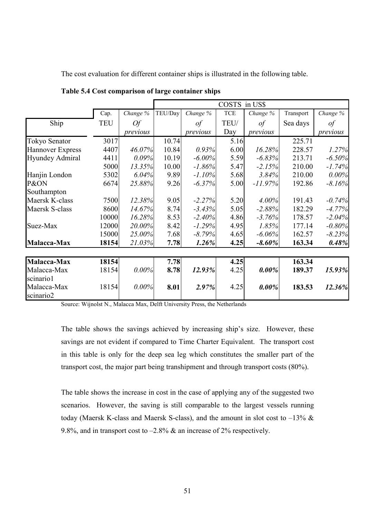The cost evaluation for different container ships is illustrated in the following table.

|                                      |            |           |         |           | COSTS in US\$ |           |           |          |
|--------------------------------------|------------|-----------|---------|-----------|---------------|-----------|-----------|----------|
|                                      | Cap.       | Change %  | TEU/Day | Change %  | <b>TCE</b>    | Change %  | Transport | Change % |
| Ship                                 | <b>TEU</b> | <i>Of</i> |         | $\iota$   | TEU/          | $\iota$   | Sea days  | of       |
|                                      |            | previous  |         | previous  | Day           | previous  |           | previous |
| <b>Tokyo Senator</b>                 | 3017       |           | 10.74   |           | 5.16          |           | 225.71    |          |
| <b>Hannover Express</b>              | 4407       | 46.07%    | 10.84   | 0.93%     | 6.00          | 16.28%    | 228.57    | 1.27%    |
| <b>Hyundey Admiral</b>               | 4411       | 0.09%     | 10.19   | $-6.00\%$ | 5.59          | $-6.83%$  | 213.71    | $-6.50%$ |
|                                      | 5000       | 13.35%    | 10.00   | $-1.86%$  | 5.47          | $-2.15%$  | 210.00    | $-1.74%$ |
| Hanjin London                        | 5302       | 6.04%     | 9.89    | $-1.10%$  | 5.68          | 3.84%     | 210.00    | 0.00%    |
| P&ON                                 | 6674       | 25.88%    | 9.26    | $-6.37%$  | 5.00          | $-11.97%$ | 192.86    | $-8.16%$ |
| Southampton                          |            |           |         |           |               |           |           |          |
| Maersk K-class                       | 7500       | 12.38%    | 9.05    | $-2.27%$  | 5.20          | 4.00%     | 191.43    | $-0.74%$ |
| Maersk S-class                       | 8600       | 14.67%    | 8.74    | $-3.43%$  | 5.05          | $-2.88%$  | 182.29    | $-4.77%$ |
|                                      | 10000      | 16.28%    | 8.53    | $-2.40%$  | 4.86          | $-3.76%$  | 178.57    | $-2.04%$ |
| Suez-Max                             | 12000      | 20.00%    | 8.42    | $-1.29%$  | 4.95          | 1.85%     | 177.14    | $-0.80%$ |
|                                      | 15000      | 25.00%    | 7.68    | $-8.79\%$ | 4.65          | $-6.06%$  | 162.57    | $-8.23%$ |
| Malacca-Max                          | 18154      | 21.03%    | 7.78    | 1.26%     | 4.25          | $-8.60%$  | 163.34    | 0.48%    |
|                                      |            |           |         |           |               |           |           |          |
| Malacca-Max                          | 18154      |           | 7.78    |           | 4.25          |           | 163.34    |          |
| Malacca-Max<br>scinario1             | 18154      | $0.00\%$  | 8.78    | 12.93%    | 4.25          | $0.00\%$  | 189.37    | 15.93%   |
| Malacca-Max<br>scinario <sub>2</sub> | 18154      | $0.00\%$  | 8.01    | 2.97%     | 4.25          | $0.00\%$  | 183.53    | 12.36%   |

**Table 5.4 Cost comparison of large container ships**

Source: Wijnolst N., Malacca Max, Delft University Press, the Netherlands

The table shows the savings achieved by increasing ship's size. However, these savings are not evident if compared to Time Charter Equivalent. The transport cost in this table is only for the deep sea leg which constitutes the smaller part of the transport cost, the major part being transhipment and through transport costs (80%).

The table shows the increase in cost in the case of applying any of the suggested two scenarios. However, the saving is still comparable to the largest vessels running today (Maersk K-class and Maersk S-class), and the amount in slot cost to  $-13\%$  & 9.8%, and in transport cost to  $-2.8\%$  & an increase of 2% respectively.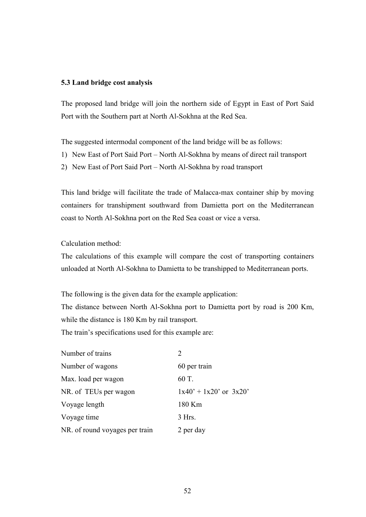#### **5.3 Land bridge cost analysis**

The proposed land bridge will join the northern side of Egypt in East of Port Said Port with the Southern part at North Al-Sokhna at the Red Sea.

The suggested intermodal component of the land bridge will be as follows:

- 1) New East of Port Said Port North Al-Sokhna by means of direct rail transport
- 2) New East of Port Said Port North Al-Sokhna by road transport

This land bridge will facilitate the trade of Malacca-max container ship by moving containers for transhipment southward from Damietta port on the Mediterranean coast to North Al-Sokhna port on the Red Sea coast or vice a versa.

Calculation method:

The calculations of this example will compare the cost of transporting containers unloaded at North Al-Sokhna to Damietta to be transhipped to Mediterranean ports.

The following is the given data for the example application:

The distance between North Al-Sokhna port to Damietta port by road is 200 Km, while the distance is 180 Km by rail transport.

The train's specifications used for this example are:

| Number of trains               | $\mathcal{D}_{\mathcal{L}}$ |
|--------------------------------|-----------------------------|
| Number of wagons               | 60 per train                |
| Max. load per wagon            | 60 T.                       |
| NR. of TEUs per wagon          | $1x40' + 1x20'$ or $3x20'$  |
| Voyage length                  | 180 Km                      |
| Voyage time                    | $3$ Hrs.                    |
| NR. of round voyages per train | 2 per day                   |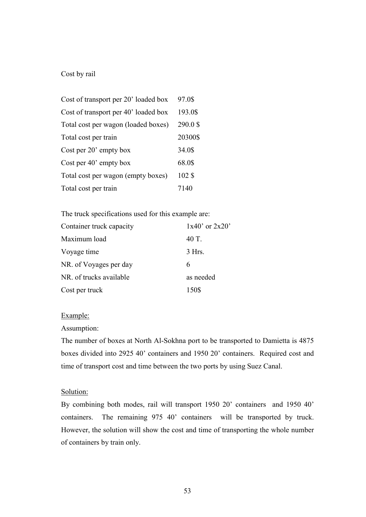## Cost by rail

| Cost of transport per 20' loaded box | 97.0\$  |
|--------------------------------------|---------|
| Cost of transport per 40' loaded box | 193.0\$ |
| Total cost per wagon (loaded boxes)  | 290.0\$ |
| Total cost per train                 | 20300\$ |
| Cost per 20' empty box               | 34.0\$  |
| Cost per 40' empty box               | 68.0\$  |
| Total cost per wagon (empty boxes)   | 102\$   |
| Total cost per train                 | 7140    |

The truck specifications used for this example are:

| Container truck capacity | $1x40'$ or $2x20'$ |
|--------------------------|--------------------|
| Maximum load             | 40 T.              |
| Voyage time              | $3$ Hrs.           |
| NR. of Voyages per day   | 6                  |
| NR. of trucks available  | as needed          |
| Cost per truck           | 150\$              |

#### Example:

### Assumption:

The number of boxes at North Al-Sokhna port to be transported to Damietta is 4875 boxes divided into 2925 40' containers and 1950 20' containers. Required cost and time of transport cost and time between the two ports by using Suez Canal.

### Solution:

By combining both modes, rail will transport 1950 20' containers and 1950 40' containers. The remaining 975 40' containers will be transported by truck. However, the solution will show the cost and time of transporting the whole number of containers by train only.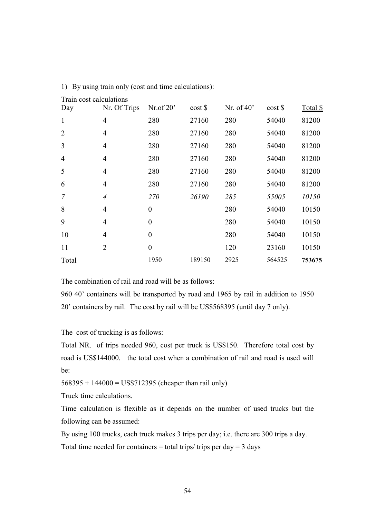| Train cost calculations |                |                  |                      |                     |                      |          |
|-------------------------|----------------|------------------|----------------------|---------------------|----------------------|----------|
| $Day$                   | Nr. Of Trips   | $Nr.$ of 20'     | $\cos t \frac{1}{2}$ | Nr. of $40^{\circ}$ | $\cos t \frac{1}{2}$ | Total \$ |
| $\mathbf{1}$            | $\overline{4}$ | 280              | 27160                | 280                 | 54040                | 81200    |
| $\overline{2}$          | $\overline{4}$ | 280              | 27160                | 280                 | 54040                | 81200    |
| $\overline{3}$          | $\overline{4}$ | 280              | 27160                | 280                 | 54040                | 81200    |
| $\overline{4}$          | $\overline{4}$ | 280              | 27160                | 280                 | 54040                | 81200    |
| 5                       | $\overline{4}$ | 280              | 27160                | 280                 | 54040                | 81200    |
| 6                       | $\overline{4}$ | 280              | 27160                | 280                 | 54040                | 81200    |
| $\overline{7}$          | $\overline{4}$ | 270              | 26190                | 285                 | 55005                | 10150    |
| 8                       | $\overline{4}$ | $\overline{0}$   |                      | 280                 | 54040                | 10150    |
| 9                       | $\overline{4}$ | $\boldsymbol{0}$ |                      | 280                 | 54040                | 10150    |
| 10                      | $\overline{4}$ | $\overline{0}$   |                      | 280                 | 54040                | 10150    |
| 11                      | $\overline{2}$ | $\boldsymbol{0}$ |                      | 120                 | 23160                | 10150    |
| Total                   |                | 1950             | 189150               | 2925                | 564525               | 753675   |

1) By using train only (cost and time calculations):

The combination of rail and road will be as follows:

960 40' containers will be transported by road and 1965 by rail in addition to 1950 20' containers by rail. The cost by rail will be US\$568395 (until day 7 only).

The cost of trucking is as follows:

Total NR. of trips needed 960, cost per truck is US\$150. Therefore total cost by road is US\$144000. the total cost when a combination of rail and road is used will be:

568395 + 144000 = US\$712395 (cheaper than rail only)

Truck time calculations.

Time calculation is flexible as it depends on the number of used trucks but the following can be assumed:

By using 100 trucks, each truck makes 3 trips per day; i.e. there are 300 trips a day. Total time needed for containers = total trips/ trips per day =  $3$  days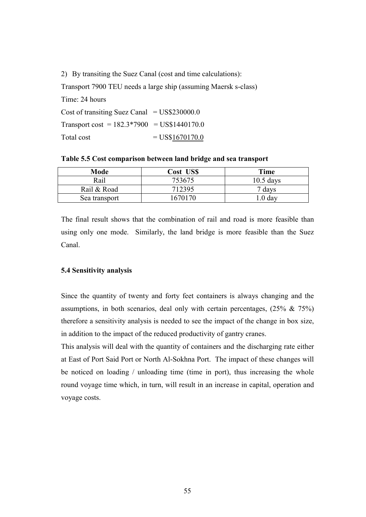2) By transiting the Suez Canal (cost and time calculations):

Transport 7900 TEU needs a large ship (assuming Maersk s-class) Time: 24 hours Cost of transiting Suez Canal =  $US$230000.0$ Transport cost =  $182.3*7900$  = US\$1440170.0 Total cost  $= US$1670170.0$ 

**Table 5.5 Cost comparison between land bridge and sea transport**

| Mode          | Cost US\$ | Time               |
|---------------|-----------|--------------------|
| Rail          | 753675    | $10.5$ days        |
| Rail & Road   | 712395    | 7 days             |
| Sea transport | 1670170   | $\therefore$ 0 day |

The final result shows that the combination of rail and road is more feasible than using only one mode. Similarly, the land bridge is more feasible than the Suez Canal.

# **5.4 Sensitivity analysis**

Since the quantity of twenty and forty feet containers is always changing and the assumptions, in both scenarios, deal only with certain percentages,  $(25\% \& 75\%)$ therefore a sensitivity analysis is needed to see the impact of the change in box size, in addition to the impact of the reduced productivity of gantry cranes.

This analysis will deal with the quantity of containers and the discharging rate either at East of Port Said Port or North Al-Sokhna Port. The impact of these changes will be noticed on loading / unloading time (time in port), thus increasing the whole round voyage time which, in turn, will result in an increase in capital, operation and voyage costs.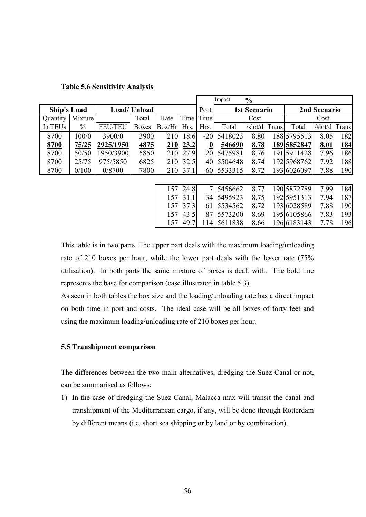|                    |         |                |              |        |      |        | Impact  | $\frac{0}{0}$       |       |              |              |            |
|--------------------|---------|----------------|--------------|--------|------|--------|---------|---------------------|-------|--------------|--------------|------------|
| <b>Ship's Load</b> |         |                | Load/ Unload |        |      | Port   |         | <b>1st Scenario</b> |       |              | 2nd Scenario |            |
| Quantity           | Mixture |                | Total        | Rate   | Time | Time   |         | Cost                |       |              | Cost         |            |
| In TEUs            | $\%$    | <b>FEU/TEU</b> | <b>Boxes</b> | Box/Hr | Hrs. | Hrs.   | Total   | /slot/d             | Trans | Total        | /slot/d      | Trans      |
| 8700               | 100/0   | 3900/0         | 3900         | 210    | 18.6 | $-20$  | 5418023 | 8.80                |       | 188 5795513  | 8.05         | 182        |
| 8700               | 75/25   | 2925/1950      | 4875         | 210    | 23.2 | 0      | 546690  | 8.78                |       | 1895852847   | <u>8.01</u>  | <u>184</u> |
| 8700               | 50/50   | 1950/3900      | 5850         | 210    | 27.9 | 20     | 5475981 | 8.76                |       | 191 591 1428 | 7.96         | 186        |
| 8700               | 25/75   | 975/5850       | 6825         | 210    | 32.5 | 40     | 5504648 | 8.74                |       | 192 5968762  | 7.92         | 188        |
| 8700               | 0/100   | 0/8700         | 7800         | 210    | 37.1 | 60     | 5533315 | 8.72                |       | 193 6026097  | 7.88         | 190        |
|                    |         |                |              |        |      |        |         |                     |       |              |              |            |
|                    |         |                |              | 157    | 24.8 | $\tau$ | 5456662 | 8.77                |       | 1905872789   | 7.99         | 184        |
|                    |         |                |              | 157    | 31.1 | 34     | 5495923 | 8.75                |       | 1925951313   | 7.94         | 187        |
|                    |         |                |              | 157    | 37.3 | 61     | 5534562 | 8.72                |       | 193 6028589  | 7.88         | 190        |
|                    |         |                |              | 157    | 43.5 | 87     | 5573200 | 8.69                |       | 195 6105866  | 7.83         | 193        |
|                    |         |                |              | 157    | 49.7 | 114    | 5611838 | 8.66                |       | 196 6183143  | 7.78         | 196        |

# **Table 5.6 Sensitivity Analysis**

This table is in two parts. The upper part deals with the maximum loading/unloading rate of 210 boxes per hour, while the lower part deals with the lesser rate (75% utilisation). In both parts the same mixture of boxes is dealt with. The bold line represents the base for comparison (case illustrated in table 5.3).

As seen in both tables the box size and the loading/unloading rate has a direct impact on both time in port and costs. The ideal case will be all boxes of forty feet and using the maximum loading/unloading rate of 210 boxes per hour.

# **5.5 Transhipment comparison**

The differences between the two main alternatives, dredging the Suez Canal or not, can be summarised as follows:

1) In the case of dredging the Suez Canal, Malacca-max will transit the canal and transhipment of the Mediterranean cargo, if any, will be done through Rotterdam by different means (i.e. short sea shipping or by land or by combination).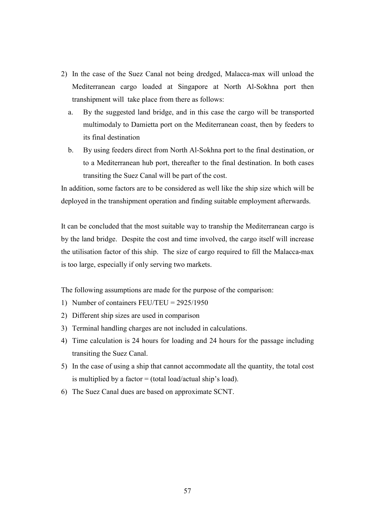- 2) In the case of the Suez Canal not being dredged, Malacca-max will unload the Mediterranean cargo loaded at Singapore at North Al-Sokhna port then transhipment will take place from there as follows:
	- a. By the suggested land bridge, and in this case the cargo will be transported multimodaly to Damietta port on the Mediterranean coast, then by feeders to its final destination
	- b. By using feeders direct from North Al-Sokhna port to the final destination, or to a Mediterranean hub port, thereafter to the final destination. In both cases transiting the Suez Canal will be part of the cost.

In addition, some factors are to be considered as well like the ship size which will be deployed in the transhipment operation and finding suitable employment afterwards.

It can be concluded that the most suitable way to tranship the Mediterranean cargo is by the land bridge. Despite the cost and time involved, the cargo itself will increase the utilisation factor of this ship. The size of cargo required to fill the Malacca-max is too large, especially if only serving two markets.

The following assumptions are made for the purpose of the comparison:

- 1) Number of containers FEU/TEU = 2925/1950
- 2) Different ship sizes are used in comparison
- 3) Terminal handling charges are not included in calculations.
- 4) Time calculation is 24 hours for loading and 24 hours for the passage including transiting the Suez Canal.
- 5) In the case of using a ship that cannot accommodate all the quantity, the total cost is multiplied by a factor  $=$  (total load/actual ship's load).
- 6) The Suez Canal dues are based on approximate SCNT.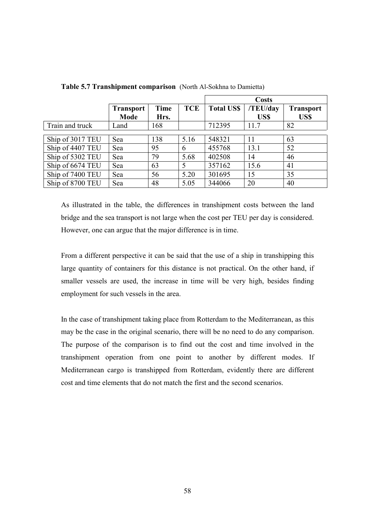|                  |                  |             |            |                   | <b>Costs</b> |                  |
|------------------|------------------|-------------|------------|-------------------|--------------|------------------|
|                  | <b>Transport</b> | <b>Time</b> | <b>TCE</b> | <b>Total US\$</b> | /TEU/day     | <b>Transport</b> |
|                  | <b>Mode</b>      | Hrs.        |            |                   | US\$         | US\$             |
| Train and truck  | Land             | 168         |            | 712395            | 11.7         | 82               |
|                  |                  |             |            |                   |              |                  |
| Ship of 3017 TEU | Sea              | 138         | 5.16       | 548321            | 11           | 63               |
| Ship of 4407 TEU | Sea              | 95          | 6          | 455768            | 13.1         | 52               |
| Ship of 5302 TEU | Sea              | 79          | 5.68       | 402508            | 14           | 46               |
| Ship of 6674 TEU | Sea              | 63          | 5          | 357162            | 15.6         | 41               |
| Ship of 7400 TEU | Sea              | 56          | 5.20       | 301695            | 15           | 35               |
| Ship of 8700 TEU | Sea              | 48          | 5.05       | 344066            | 20           | 40               |

**Table 5.7 Transhipment comparison** (North Al-Sokhna to Damietta)

As illustrated in the table, the differences in transhipment costs between the land bridge and the sea transport is not large when the cost per TEU per day is considered. However, one can argue that the major difference is in time.

From a different perspective it can be said that the use of a ship in transhipping this large quantity of containers for this distance is not practical. On the other hand, if smaller vessels are used, the increase in time will be very high, besides finding employment for such vessels in the area.

In the case of transhipment taking place from Rotterdam to the Mediterranean, as this may be the case in the original scenario, there will be no need to do any comparison. The purpose of the comparison is to find out the cost and time involved in the transhipment operation from one point to another by different modes. If Mediterranean cargo is transhipped from Rotterdam, evidently there are different cost and time elements that do not match the first and the second scenarios.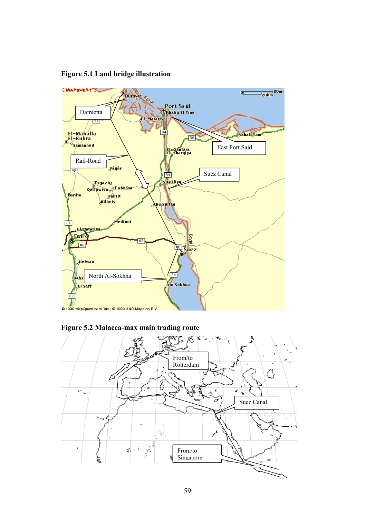

**Figure 5.1 Land bridge illustration**



**Figure 5.2 Malacca-max main trading route**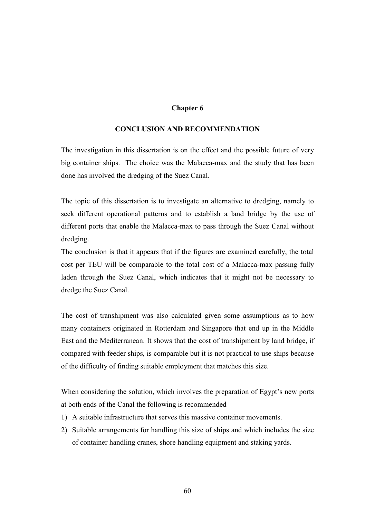## **Chapter 6**

## **CONCLUSION AND RECOMMENDATION**

The investigation in this dissertation is on the effect and the possible future of very big container ships. The choice was the Malacca-max and the study that has been done has involved the dredging of the Suez Canal.

The topic of this dissertation is to investigate an alternative to dredging, namely to seek different operational patterns and to establish a land bridge by the use of different ports that enable the Malacca-max to pass through the Suez Canal without dredging.

The conclusion is that it appears that if the figures are examined carefully, the total cost per TEU will be comparable to the total cost of a Malacca-max passing fully laden through the Suez Canal, which indicates that it might not be necessary to dredge the Suez Canal.

The cost of transhipment was also calculated given some assumptions as to how many containers originated in Rotterdam and Singapore that end up in the Middle East and the Mediterranean. It shows that the cost of transhipment by land bridge, if compared with feeder ships, is comparable but it is not practical to use ships because of the difficulty of finding suitable employment that matches this size.

When considering the solution, which involves the preparation of Egypt's new ports at both ends of the Canal the following is recommended

- 1) A suitable infrastructure that serves this massive container movements.
- 2) Suitable arrangements for handling this size of ships and which includes the size of container handling cranes, shore handling equipment and staking yards.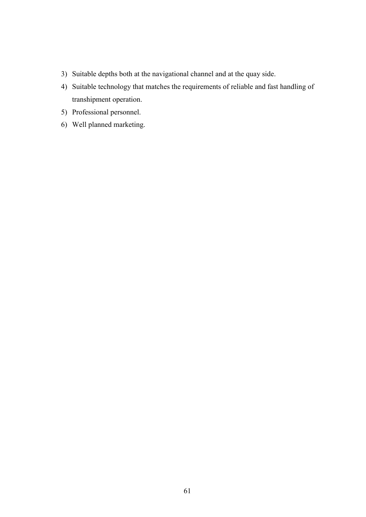- 3) Suitable depths both at the navigational channel and at the quay side.
- 4) Suitable technology that matches the requirements of reliable and fast handling of transhipment operation.
- 5) Professional personnel.
- 6) Well planned marketing.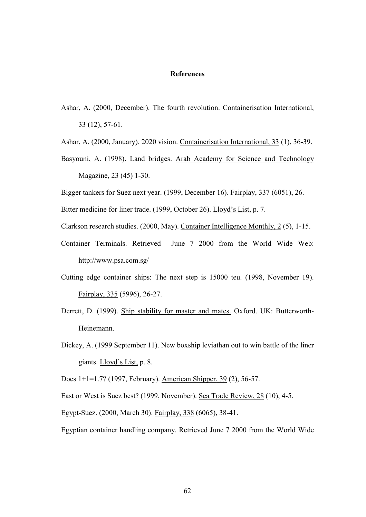## **References**

Ashar, A. (2000, December). The fourth revolution. Containerisation International, 33 (12), 57-61.

Ashar, A. (2000, January). 2020 vision. Containerisation International, 33 (1), 36-39.

Basyouni, A. (1998). Land bridges. Arab Academy for Science and Technology Magazine, 23 (45) 1-30.

Bigger tankers for Suez next year. (1999, December 16). Fairplay, 337 (6051), 26.

Bitter medicine for liner trade. (1999, October 26). Lloyd's List, p. 7.

Clarkson research studies. (2000, May). Container Intelligence Monthly, 2 (5), 1-15.

- Container Terminals. Retrieved June 7 2000 from the World Wide Web: http://www.psa.com.sg/
- Cutting edge container ships: The next step is 15000 teu. (1998, November 19). Fairplay, 335 (5996), 26-27.
- Derrett, D. (1999). Ship stability for master and mates. Oxford. UK: Butterworth-Heinemann.
- Dickey, A. (1999 September 11). New boxship leviathan out to win battle of the liner giants. Lloyd's List, p. 8.

Does 1+1=1.7? (1997, February). American Shipper, 39 (2), 56-57.

East or West is Suez best? (1999, November). Sea Trade Review, 28 (10), 4-5.

Egypt-Suez. (2000, March 30). Fairplay, 338 (6065), 38-41.

Egyptian container handling company. Retrieved June 7 2000 from the World Wide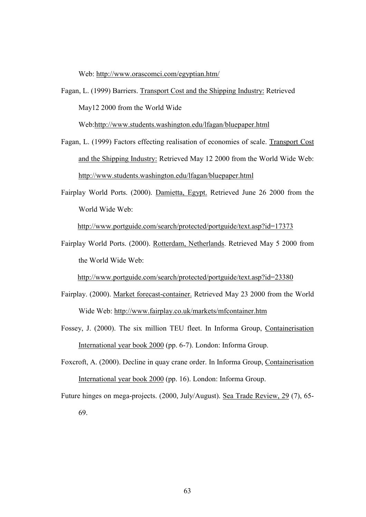Web: http://www.orascomci.com/egyptian.htm/

Fagan, L. (1999) Barriers. Transport Cost and the Shipping Industry: Retrieved May12 2000 from the World Wide

Web[:http://www.students.washington.edu/lfagan/bluepaper.html](http://www.students.washington.edu/lfagan/bluepaper.html)

- Fagan, L. (1999) Factors effecting realisation of economies of scale. Transport Cost and the Shipping Industry: Retrieved May 12 2000 from the World Wide Web: <http://www.students.washington.edu/lfagan/bluepaper.html>
- Fairplay World Ports. (2000). Damietta, Egypt. Retrieved June 26 2000 from the World Wide Web:

[http://www.](http://www/)portguide.com/search/protected/portguide/text.asp?id=17373

Fairplay World Ports. (2000). Rotterdam, Netherlands. Retrieved May 5 2000 from the World Wide Web:

[http://www.](http://www/)portguide.com/search/protected/portguide/text.asp?id=23380

- Fairplay. (2000). Market forecast-container. Retrieved May 23 2000 from the World Wide Web: http://www.fairplay.co.uk/markets/mfcontainer.htm
- Fossey, J. (2000). The six million TEU fleet. In Informa Group, Containerisation International year book 2000 (pp. 6-7). London: Informa Group.
- Foxcroft, A. (2000). Decline in quay crane order. In Informa Group, Containerisation International year book 2000 (pp. 16). London: Informa Group.

Future hinges on mega-projects. (2000, July/August). Sea Trade Review, 29 (7), 65-

69.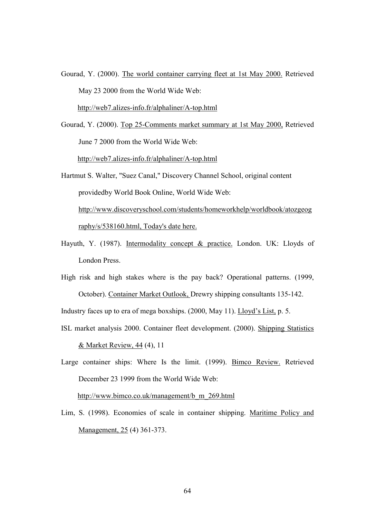Gourad, Y. (2000). The world container carrying fleet at 1st May 2000. Retrieved May 23 2000 from the World Wide Web:

[http://web7.alizes-i](http://web7.alizes-/)nfo.fr/alphaliner/A-top.html

Gourad, Y. (2000). Top 25-Comments market summary at 1st May 2000, Retrieved June 7 2000 from the World Wide Web: [http://web7.alizes-i](http://web7.alizes-/)nfo.fr/alphaliner/A-top.html

- Hartmut S. Walter, "Suez Canal," Discovery Channel School, original content providedby World Book Online, World Wide Web: http://www.discoveryschool.com/students/homeworkhelp/worldbook/atozgeog raphy/s/538160.html, Today's date here.
- Hayuth, Y. (1987). Intermodality concept & practice. London. UK: Lloyds of London Press.
- High risk and high stakes where is the pay back? Operational patterns. (1999, October). Container Market Outlook, Drewry shipping consultants 135-142.

Industry faces up to era of mega boxships. (2000, May 11). Lloyd's List, p. 5.

ISL market analysis 2000. Container fleet development. (2000). Shipping Statistics & Market Review, 44 (4), 11

Large container ships: Where Is the limit. (1999). Bimco Review. Retrieved December 23 1999 from the World Wide Web:

[http://www.](http://www/)bimco.co.uk/management/b\_m\_269.html

Lim, S. (1998). Economies of scale in container shipping. Maritime Policy and Management, 25 (4) 361-373.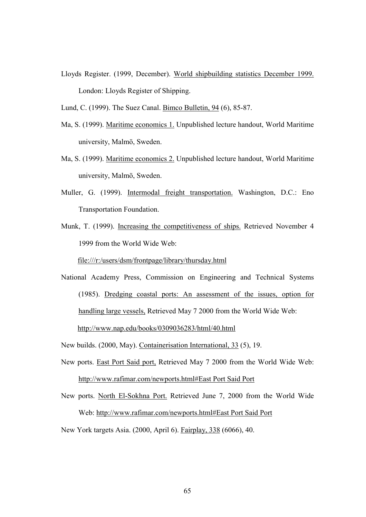Lloyds Register. (1999, December). World shipbuilding statistics December 1999. London: Lloyds Register of Shipping.

Lund, C. (1999). The Suez Canal. Bimco Bulletin, 94 (6), 85-87.

- Ma, S. (1999). Maritime economics 1. Unpublished lecture handout, World Maritime university, Malmö, Sweden.
- Ma, S. (1999). Maritime economics 2. Unpublished lecture handout, World Maritime university, Malmö, Sweden.
- Muller, G. (1999). Intermodal freight transportation. Washington, D.C.: Eno Transportation Foundation.
- Munk, T. (1999). Increasing the competitiveness of ships. Retrieved November 4 1999 from the World Wide Web:

file:///r:/users/dsm/frontpage/library/thursday.html

National Academy Press, Commission on Engineering and Technical Systems (1985). Dredging coastal ports: An assessment of the issues, option for handling large vessels, Retrieved May 7 2000 from the World Wide Web: <http://www.nap.edu/books/0309036283/html/40.html>

New builds. (2000, May). Containerisation International, 33 (5), 19.

- New ports. East Port Said port, Retrieved May 7 2000 from the World Wide Web: http://www.rafimar.com/newports.html#East Port Said Port
- New ports. North El-Sokhna Port. Retrieved June 7, 2000 from the World Wide Web: http://www.rafimar.com/newports.html#East Port Said Port

New York targets Asia. (2000, April 6). Fairplay, 338 (6066), 40.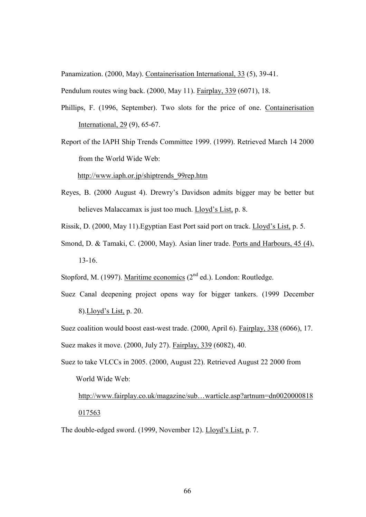Panamization. (2000, May). Containerisation International, 33 (5), 39-41.

Pendulum routes wing back. (2000, May 11). Fairplay, 339 (6071), 18.

- Phillips, F. (1996, September). Two slots for the price of one. Containerisation International, 29 (9), 65-67.
- Report of the IAPH Ship Trends Committee 1999. (1999). Retrieved March 14 2000 from the World Wide Web:

[http://www.](http://www/)iaph.or.jp/shiptrends\_99rep.htm

- Reyes, B. (2000 August 4). Drewry's Davidson admits bigger may be better but believes Malaccamax is just too much. Lloyd's List, p. 8.
- Rissik, D. (2000, May 11).Egyptian East Port said port on track. Lloyd's List, p. 5.
- Smond, D. & Tamaki, C. (2000, May). Asian liner trade. Ports and Harbours, 45 (4), 13-16.

Stopford, M. (1997). Maritime economics  $(2<sup>nd</sup>$  ed.). London: Routledge.

Suez Canal deepening project opens way for bigger tankers. (1999 December 8).Lloyd's List, p. 20.

Suez coalition would boost east-west trade. (2000, April 6). Fairplay, 338 (6066), 17. Suez makes it move. (2000, July 27). Fairplay, 339 (6082), 40.

Suez to take VLCCs in 2005. (2000, August 22). Retrieved August 22 2000 from World Wide Web:

http://www.fairplay.co.uk/magazine/sub…warticle.asp?artnum=dn0020000818 017563

The double-edged sword. (1999, November 12). Lloyd's List, p. 7.